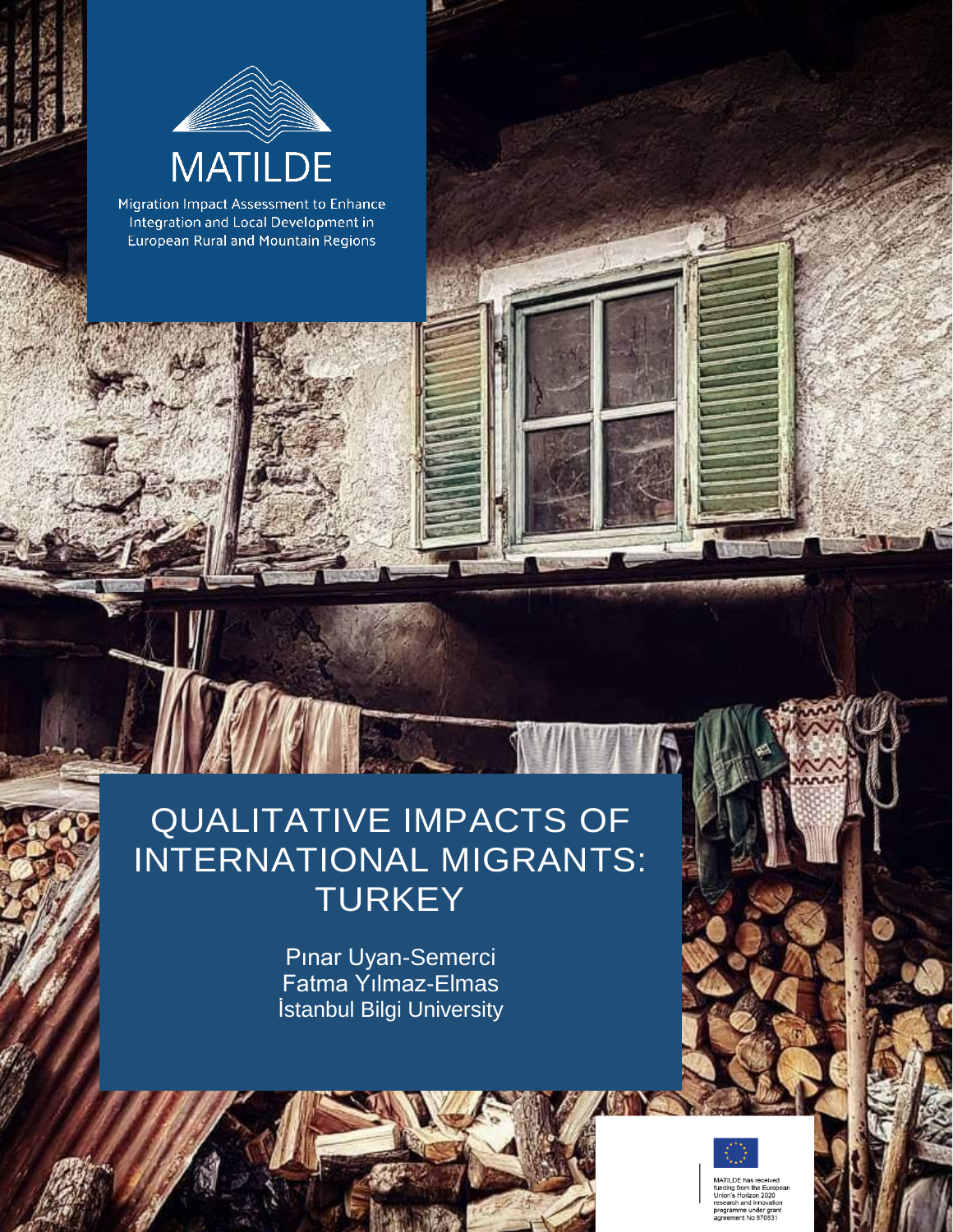

Migration Impact Assessment to Enhance Integration and Local Development in **European Rural and Mountain Regions** 

# QUALITATIVE IMPACTS OF INTERNATIONAL MIGRANTS: **TURKEY**

IFT

Pınar Uyan-Semerci Fatma Yılmaz-Elmas İstanbul Bilgi University



ogramme under grant<br>reement No 870831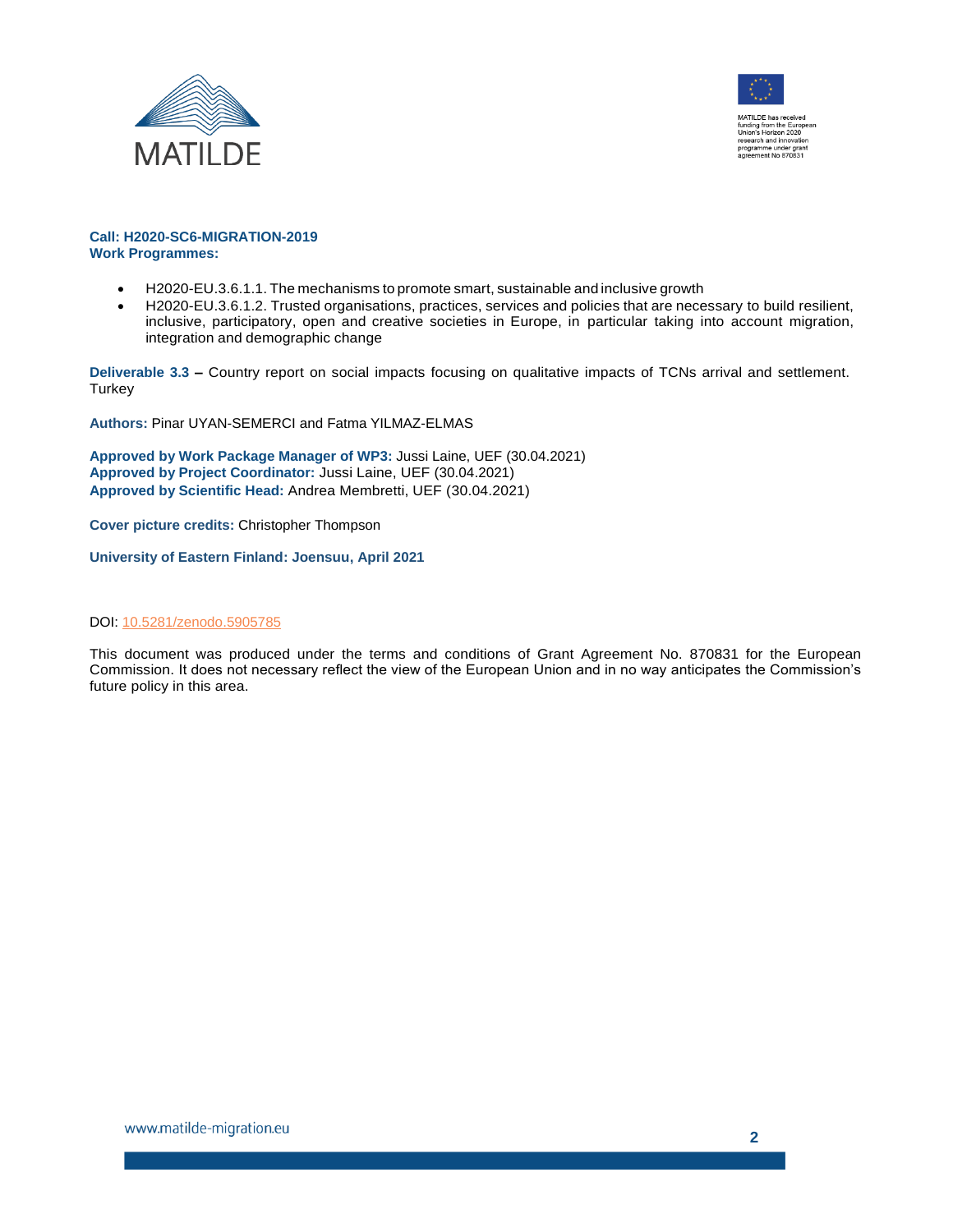



#### **Call: H2020-SC6-MIGRATION-2019 Work Programmes:**

- H2020-EU.3.6.1.1. The mechanisms to promote smart, sustainable and inclusive growth
- H2020-EU.3.6.1.2. Trusted organisations, practices, services and policies that are necessary to build resilient, inclusive, participatory, open and creative societies in Europe, in particular taking into account migration, integration and demographic change

**Deliverable 3.3 –** Country report on social impacts focusing on qualitative impacts of TCNs arrival and settlement. Turkey

**Authors:** Pinar UYAN-SEMERCI and Fatma YILMAZ-ELMAS

**Approved by Work Package Manager of WP3:** Jussi Laine, UEF (30.04.2021) **Approved by Project Coordinator:** Jussi Laine, UEF (30.04.2021) **Approved by Scientific Head:** Andrea Membretti, UEF (30.04.2021)

**Cover picture credits:** Christopher Thompson

**University of Eastern Finland: Joensuu, April 2021**

#### DOI[: 10.5281/zenodo.5905785](https://doi.org/10.5281/zenodo.5905785)

This document was produced under the terms and conditions of Grant Agreement No. 870831 for the European Commission. It does not necessary reflect the view of the European Union and in no way anticipates the Commission's future policy in this area.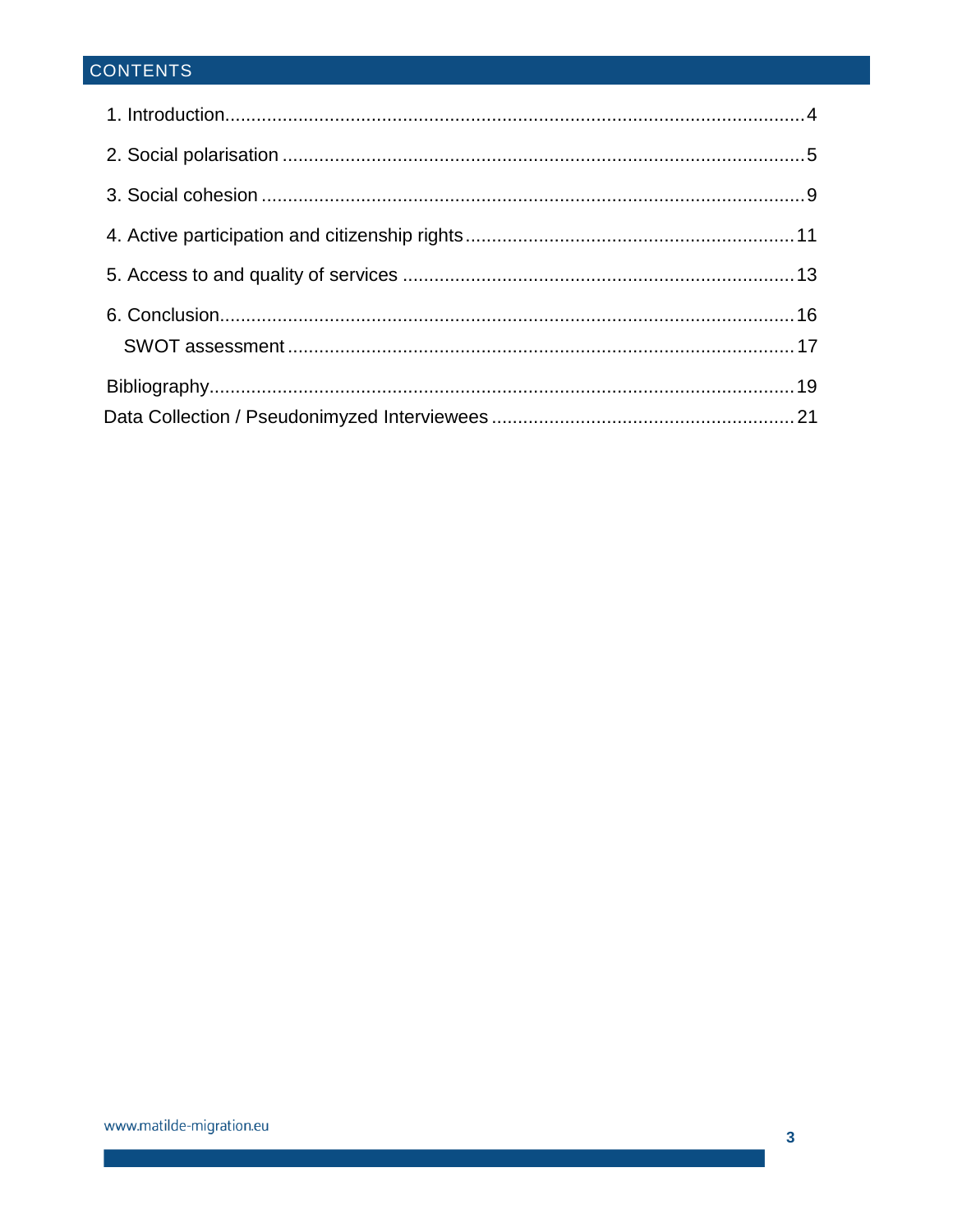# CONTENTS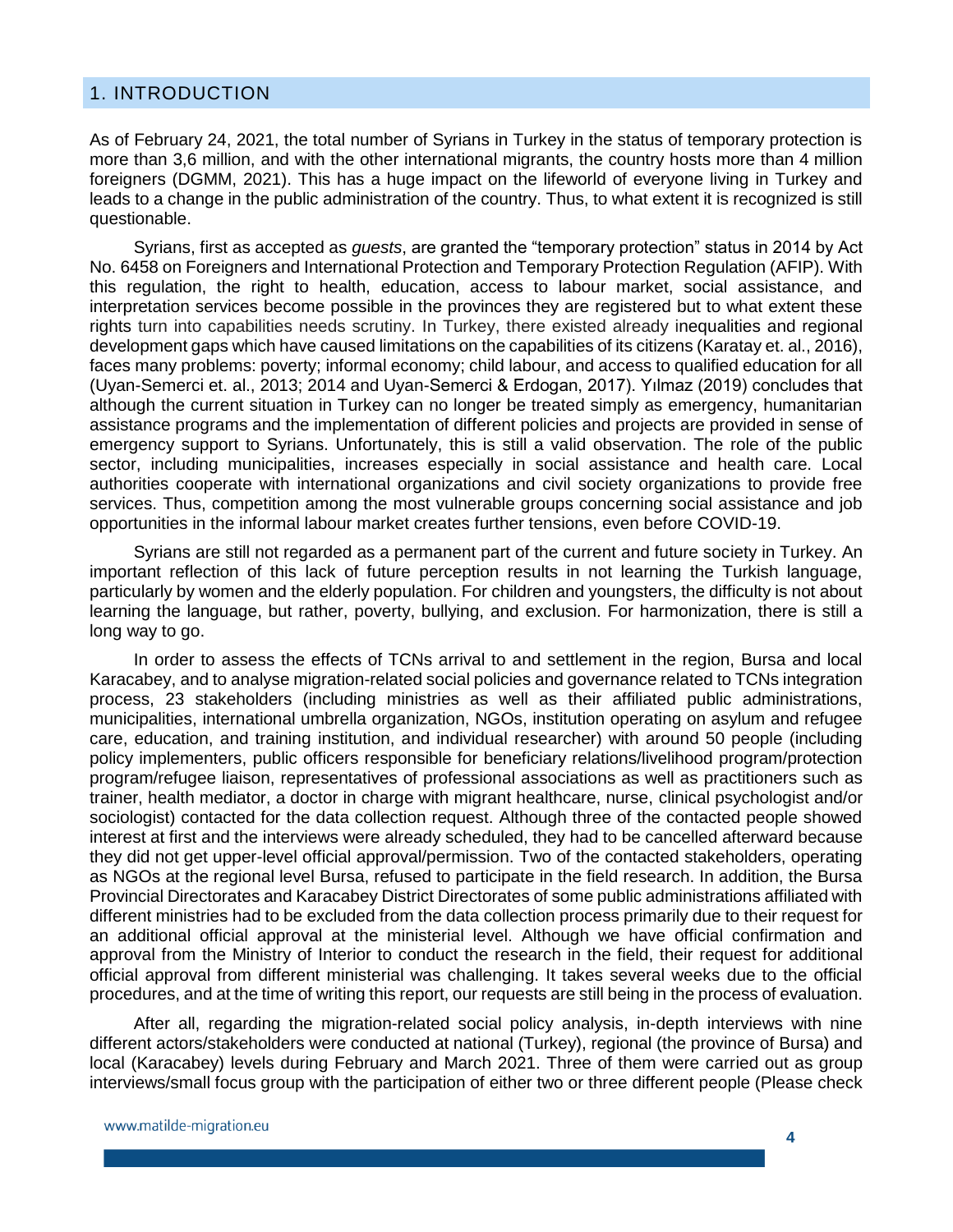#### <span id="page-3-0"></span>1. INTRODUCTION

As of February 24, 2021, the total number of Syrians in Turkey in the status of temporary protection is more than 3,6 million, and with the other international migrants, the country hosts more than 4 million foreigners (DGMM, 2021). This has a huge impact on the lifeworld of everyone living in Turkey and leads to a change in the public administration of the country. Thus, to what extent it is recognized is still questionable.

Syrians, first as accepted as *guests*, are granted the "temporary protection" status in 2014 by Act No. 6458 on Foreigners and International Protection and Temporary Protection Regulation (AFIP). With this regulation, the right to health, education, access to labour market, social assistance, and interpretation services become possible in the provinces they are registered but to what extent these rights turn into capabilities needs scrutiny. In Turkey, there existed already inequalities and regional development gaps which have caused limitations on the capabilities of its citizens (Karatay et. al., 2016), faces many problems: poverty; informal economy; child labour, and access to qualified education for all (Uyan-Semerci et. al., 2013; 2014 and Uyan-Semerci & Erdogan, 2017). Yılmaz (2019) concludes that although the current situation in Turkey can no longer be treated simply as emergency, humanitarian assistance programs and the implementation of different policies and projects are provided in sense of emergency support to Syrians. Unfortunately, this is still a valid observation. The role of the public sector, including municipalities, increases especially in social assistance and health care. Local authorities cooperate with international organizations and civil society organizations to provide free services. Thus, competition among the most vulnerable groups concerning social assistance and job opportunities in the informal labour market creates further tensions, even before COVID-19.

Syrians are still not regarded as a permanent part of the current and future society in Turkey. An important reflection of this lack of future perception results in not learning the Turkish language, particularly by women and the elderly population. For children and youngsters, the difficulty is not about learning the language, but rather, poverty, bullying, and exclusion. For harmonization, there is still a long way to go.

In order to assess the effects of TCNs arrival to and settlement in the region, Bursa and local Karacabey, and to analyse migration-related social policies and governance related to TCNs integration process, 23 stakeholders (including ministries as well as their affiliated public administrations, municipalities, international umbrella organization, NGOs, institution operating on asylum and refugee care, education, and training institution, and individual researcher) with around 50 people (including policy implementers, public officers responsible for beneficiary relations/livelihood program/protection program/refugee liaison, representatives of professional associations as well as practitioners such as trainer, health mediator, a doctor in charge with migrant healthcare, nurse, clinical psychologist and/or sociologist) contacted for the data collection request. Although three of the contacted people showed interest at first and the interviews were already scheduled, they had to be cancelled afterward because they did not get upper-level official approval/permission. Two of the contacted stakeholders, operating as NGOs at the regional level Bursa, refused to participate in the field research. In addition, the Bursa Provincial Directorates and Karacabey District Directorates of some public administrations affiliated with different ministries had to be excluded from the data collection process primarily due to their request for an additional official approval at the ministerial level. Although we have official confirmation and approval from the Ministry of Interior to conduct the research in the field, their request for additional official approval from different ministerial was challenging. It takes several weeks due to the official procedures, and at the time of writing this report, our requests are still being in the process of evaluation.

After all, regarding the migration-related social policy analysis, in-depth interviews with nine different actors/stakeholders were conducted at national (Turkey), regional (the province of Bursa) and local (Karacabey) levels during February and March 2021. Three of them were carried out as group interviews/small focus group with the participation of either two or three different people (Please check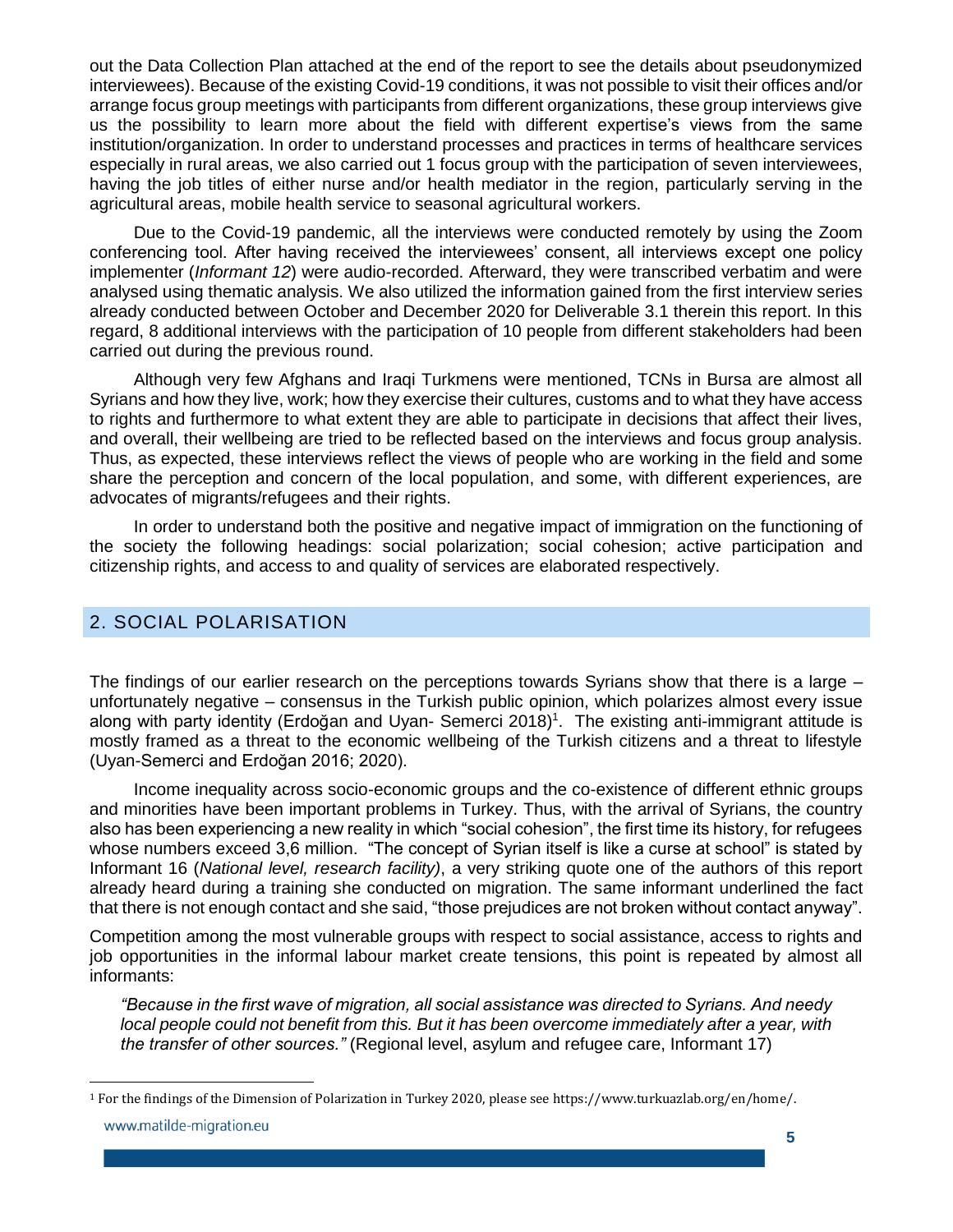out the Data Collection Plan attached at the end of the report to see the details about pseudonymized interviewees). Because of the existing Covid-19 conditions, it was not possible to visit their offices and/or arrange focus group meetings with participants from different organizations, these group interviews give us the possibility to learn more about the field with different expertise's views from the same institution/organization. In order to understand processes and practices in terms of healthcare services especially in rural areas, we also carried out 1 focus group with the participation of seven interviewees, having the job titles of either nurse and/or health mediator in the region, particularly serving in the agricultural areas, mobile health service to seasonal agricultural workers.

Due to the Covid-19 pandemic, all the interviews were conducted remotely by using the Zoom conferencing tool. After having received the interviewees' consent, all interviews except one policy implementer (*Informant 12*) were audio-recorded. Afterward, they were transcribed verbatim and were analysed using thematic analysis. We also utilized the information gained from the first interview series already conducted between October and December 2020 for Deliverable 3.1 therein this report. In this regard, 8 additional interviews with the participation of 10 people from different stakeholders had been carried out during the previous round.

Although very few Afghans and Iraqi Turkmens were mentioned, TCNs in Bursa are almost all Syrians and how they live, work; how they exercise their cultures, customs and to what they have access to rights and furthermore to what extent they are able to participate in decisions that affect their lives, and overall, their wellbeing are tried to be reflected based on the interviews and focus group analysis. Thus, as expected, these interviews reflect the views of people who are working in the field and some share the perception and concern of the local population, and some, with different experiences, are advocates of migrants/refugees and their rights.

In order to understand both the positive and negative impact of immigration on the functioning of the society the following headings: social polarization; social cohesion; active participation and citizenship rights, and access to and quality of services are elaborated respectively.

#### <span id="page-4-0"></span>2. SOCIAL POLARISATION

l

The findings of our earlier research on the perceptions towards Syrians show that there is a large – unfortunately negative – consensus in the Turkish public opinion, which polarizes almost every issue along with party identity (Erdoğan and Uyan- Semerci 2018)<sup>1</sup>. The existing anti-immigrant attitude is mostly framed as a threat to the economic wellbeing of the Turkish citizens and a threat to lifestyle (Uyan-Semerci and Erdoğan 2016; 2020).

Income inequality across socio-economic groups and the co-existence of different ethnic groups and minorities have been important problems in Turkey. Thus, with the arrival of Syrians, the country also has been experiencing a new reality in which "social cohesion", the first time its history, for refugees whose numbers exceed 3,6 million. "The concept of Syrian itself is like a curse at school" is stated by Informant 16 (*National level, research facility)*, a very striking quote one of the authors of this report already heard during a training she conducted on migration. The same informant underlined the fact that there is not enough contact and she said, "those prejudices are not broken without contact anyway".

Competition among the most vulnerable groups with respect to social assistance, access to rights and job opportunities in the informal labour market create tensions, this point is repeated by almost all informants:

*"Because in the first wave of migration, all social assistance was directed to Syrians. And needy local people could not benefit from this. But it has been overcome immediately after a year, with the transfer of other sources."* (Regional level, asylum and refugee care, Informant 17)

<sup>1</sup> For the findings of the Dimension of Polarization in Turkey 2020, please see https://www.turkuazlab.org/en/home/.www.matilde-migration.eu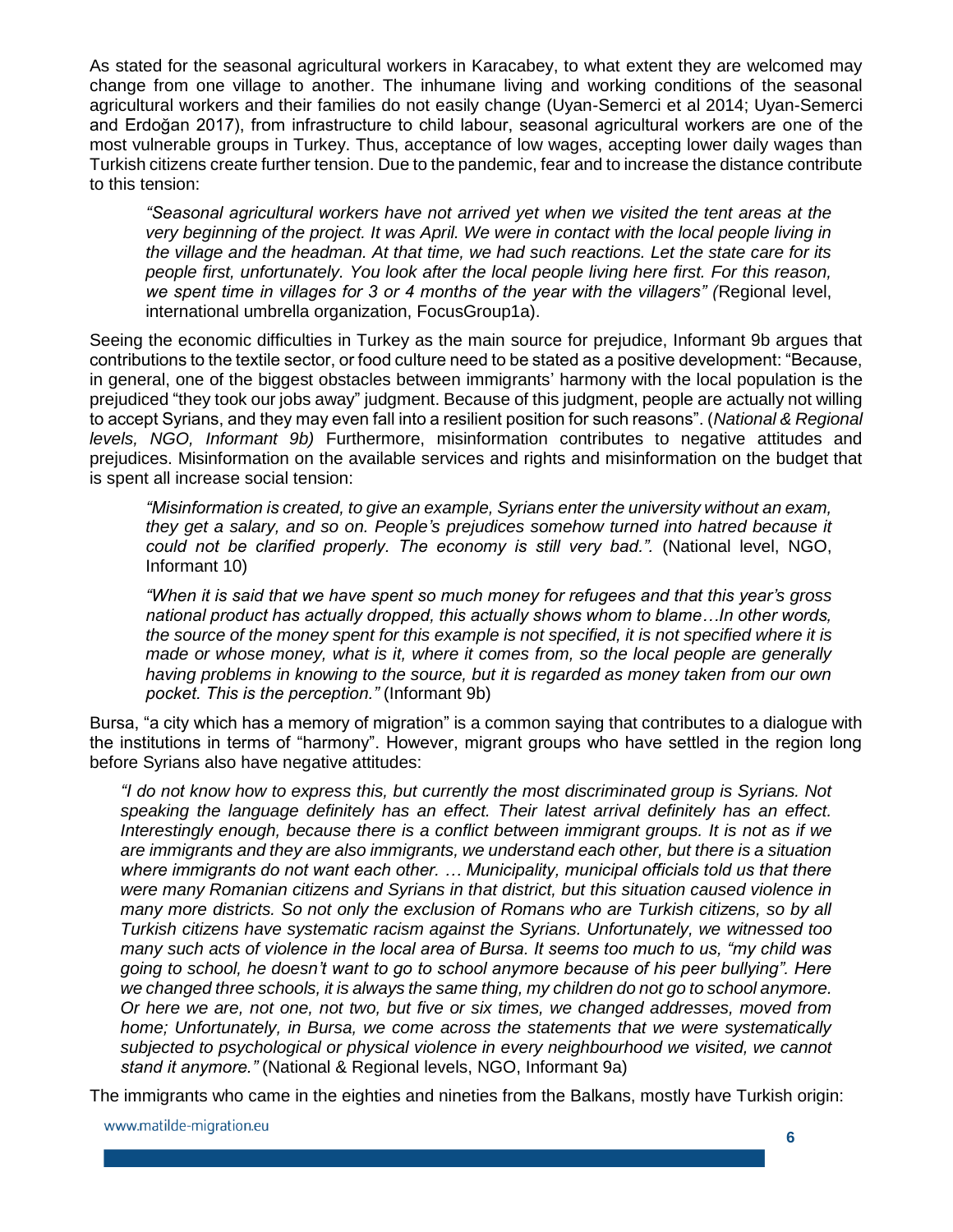As stated for the seasonal agricultural workers in Karacabey, to what extent they are welcomed may change from one village to another. The inhumane living and working conditions of the seasonal agricultural workers and their families do not easily change (Uyan-Semerci et al 2014; Uyan-Semerci and Erdoğan 2017), from infrastructure to child labour, seasonal agricultural workers are one of the most vulnerable groups in Turkey. Thus, acceptance of low wages, accepting lower daily wages than Turkish citizens create further tension. Due to the pandemic, fear and to increase the distance contribute to this tension:

*"Seasonal agricultural workers have not arrived yet when we visited the tent areas at the very beginning of the project. It was April. We were in contact with the local people living in the village and the headman. At that time, we had such reactions. Let the state care for its people first, unfortunately. You look after the local people living here first. For this reason, we spent time in villages for 3 or 4 months of the year with the villagers" (*Regional level, international umbrella organization, FocusGroup1a).

Seeing the economic difficulties in Turkey as the main source for prejudice, Informant 9b argues that contributions to the textile sector, or food culture need to be stated as a positive development: "Because, in general, one of the biggest obstacles between immigrants' harmony with the local population is the prejudiced "they took our jobs away" judgment. Because of this judgment, people are actually not willing to accept Syrians, and they may even fall into a resilient position for such reasons". (*National & Regional levels, NGO, Informant 9b)* Furthermore, misinformation contributes to negative attitudes and prejudices. Misinformation on the available services and rights and misinformation on the budget that is spent all increase social tension:

*"Misinformation is created, to give an example, Syrians enter the university without an exam, they get a salary, and so on. People's prejudices somehow turned into hatred because it*  could not be clarified properly. The economy is still very bad.". (National level, NGO, Informant 10)

*"When it is said that we have spent so much money for refugees and that this year's gross national product has actually dropped, this actually shows whom to blame…In other words, the source of the money spent for this example is not specified, it is not specified where it is made or whose money, what is it, where it comes from, so the local people are generally having problems in knowing to the source, but it is regarded as money taken from our own pocket. This is the perception."* (Informant 9b)

Bursa, "a city which has a memory of migration" is a common saying that contributes to a dialogue with the institutions in terms of "harmony". However, migrant groups who have settled in the region long before Syrians also have negative attitudes:

*"I do not know how to express this, but currently the most discriminated group is Syrians. Not speaking the language definitely has an effect. Their latest arrival definitely has an effect. Interestingly enough, because there is a conflict between immigrant groups. It is not as if we are immigrants and they are also immigrants, we understand each other, but there is a situation where immigrants do not want each other. … Municipality, municipal officials told us that there were many Romanian citizens and Syrians in that district, but this situation caused violence in many more districts. So not only the exclusion of Romans who are Turkish citizens, so by all Turkish citizens have systematic racism against the Syrians. Unfortunately, we witnessed too many such acts of violence in the local area of Bursa. It seems too much to us, "my child was going to school, he doesn't want to go to school anymore because of his peer bullying". Here we changed three schools, it is always the same thing, my children do not go to school anymore. Or here we are, not one, not two, but five or six times, we changed addresses, moved from home; Unfortunately, in Bursa, we come across the statements that we were systematically subjected to psychological or physical violence in every neighbourhood we visited, we cannot stand it anymore."* (National & Regional levels, NGO, Informant 9a)

The immigrants who came in the eighties and nineties from the Balkans, mostly have Turkish origin: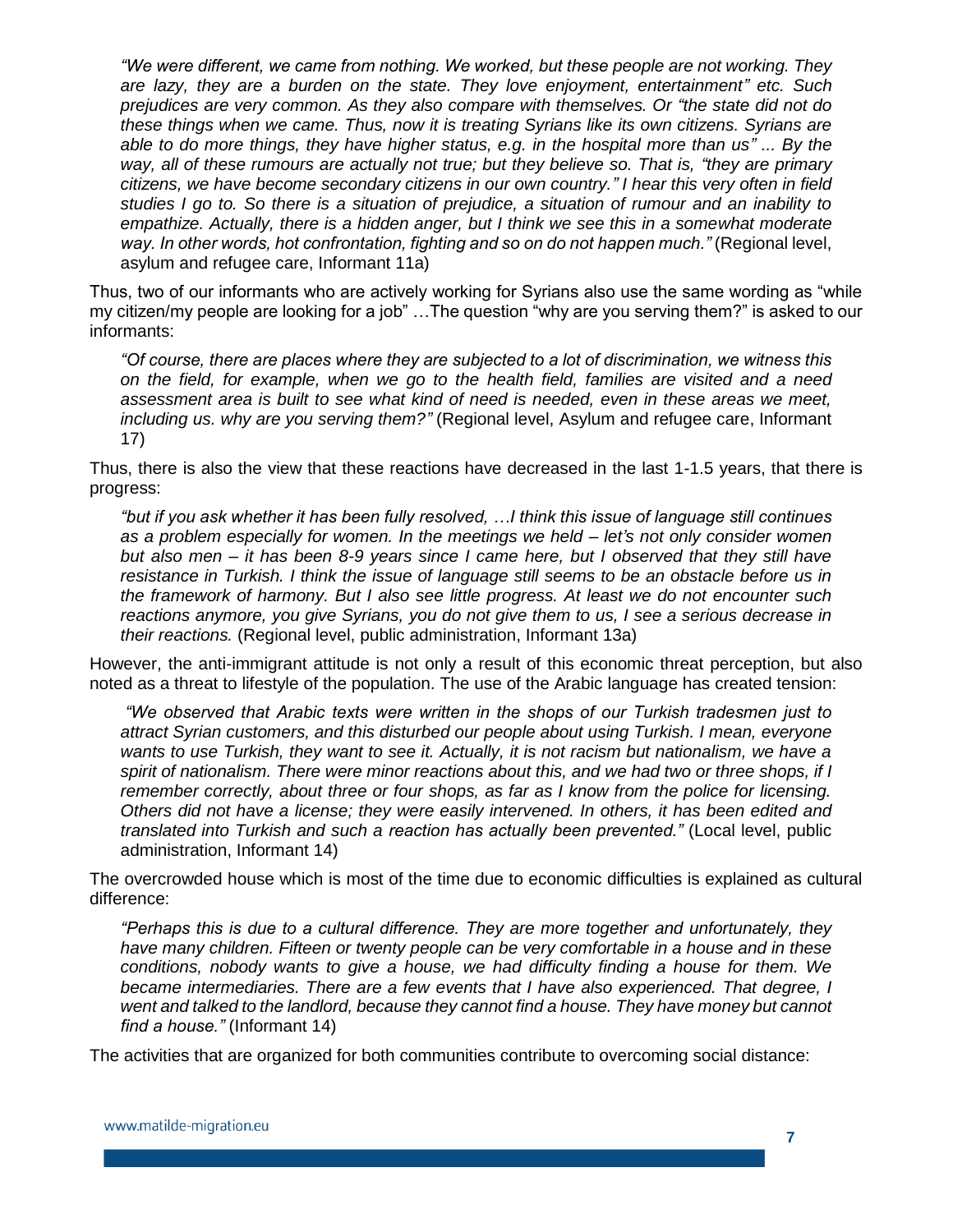*"We were different, we came from nothing. We worked, but these people are not working. They are lazy, they are a burden on the state. They love enjoyment, entertainment" etc. Such prejudices are very common. As they also compare with themselves. Or "the state did not do these things when we came. Thus, now it is treating Syrians like its own citizens. Syrians are able to do more things, they have higher status, e.g. in the hospital more than us" ... By the way, all of these rumours are actually not true; but they believe so. That is, "they are primary citizens, we have become secondary citizens in our own country." I hear this very often in field studies I go to. So there is a situation of prejudice, a situation of rumour and an inability to empathize. Actually, there is a hidden anger, but I think we see this in a somewhat moderate way. In other words, hot confrontation, fighting and so on do not happen much."* (Regional level, asylum and refugee care, Informant 11a)

Thus, two of our informants who are actively working for Syrians also use the same wording as "while my citizen/my people are looking for a job" …The question "why are you serving them?" is asked to our informants:

*"Of course, there are places where they are subjected to a lot of discrimination, we witness this on the field, for example, when we go to the health field, families are visited and a need assessment area is built to see what kind of need is needed, even in these areas we meet, including us. why are you serving them?"* (Regional level, Asylum and refugee care, Informant 17)

Thus, there is also the view that these reactions have decreased in the last 1-1.5 years, that there is progress:

*"but if you ask whether it has been fully resolved, …I think this issue of language still continues as a problem especially for women. In the meetings we held – let's not only consider women but also men – it has been 8-9 years since I came here, but I observed that they still have resistance in Turkish. I think the issue of language still seems to be an obstacle before us in the framework of harmony. But I also see little progress. At least we do not encounter such reactions anymore, you give Syrians, you do not give them to us, I see a serious decrease in their reactions.* (Regional level, public administration, Informant 13a)

However, the anti-immigrant attitude is not only a result of this economic threat perception, but also noted as a threat to lifestyle of the population. The use of the Arabic language has created tension:

*"We observed that Arabic texts were written in the shops of our Turkish tradesmen just to attract Syrian customers, and this disturbed our people about using Turkish. I mean, everyone wants to use Turkish, they want to see it. Actually, it is not racism but nationalism, we have a spirit of nationalism. There were minor reactions about this, and we had two or three shops, if I remember correctly, about three or four shops, as far as I know from the police for licensing. Others did not have a license; they were easily intervened. In others, it has been edited and translated into Turkish and such a reaction has actually been prevented."* (Local level, public administration, Informant 14)

The overcrowded house which is most of the time due to economic difficulties is explained as cultural difference:

*"Perhaps this is due to a cultural difference. They are more together and unfortunately, they have many children. Fifteen or twenty people can be very comfortable in a house and in these conditions, nobody wants to give a house, we had difficulty finding a house for them. We became intermediaries. There are a few events that I have also experienced. That degree, I went and talked to the landlord, because they cannot find a house. They have money but cannot find a house."* (Informant 14)

The activities that are organized for both communities contribute to overcoming social distance: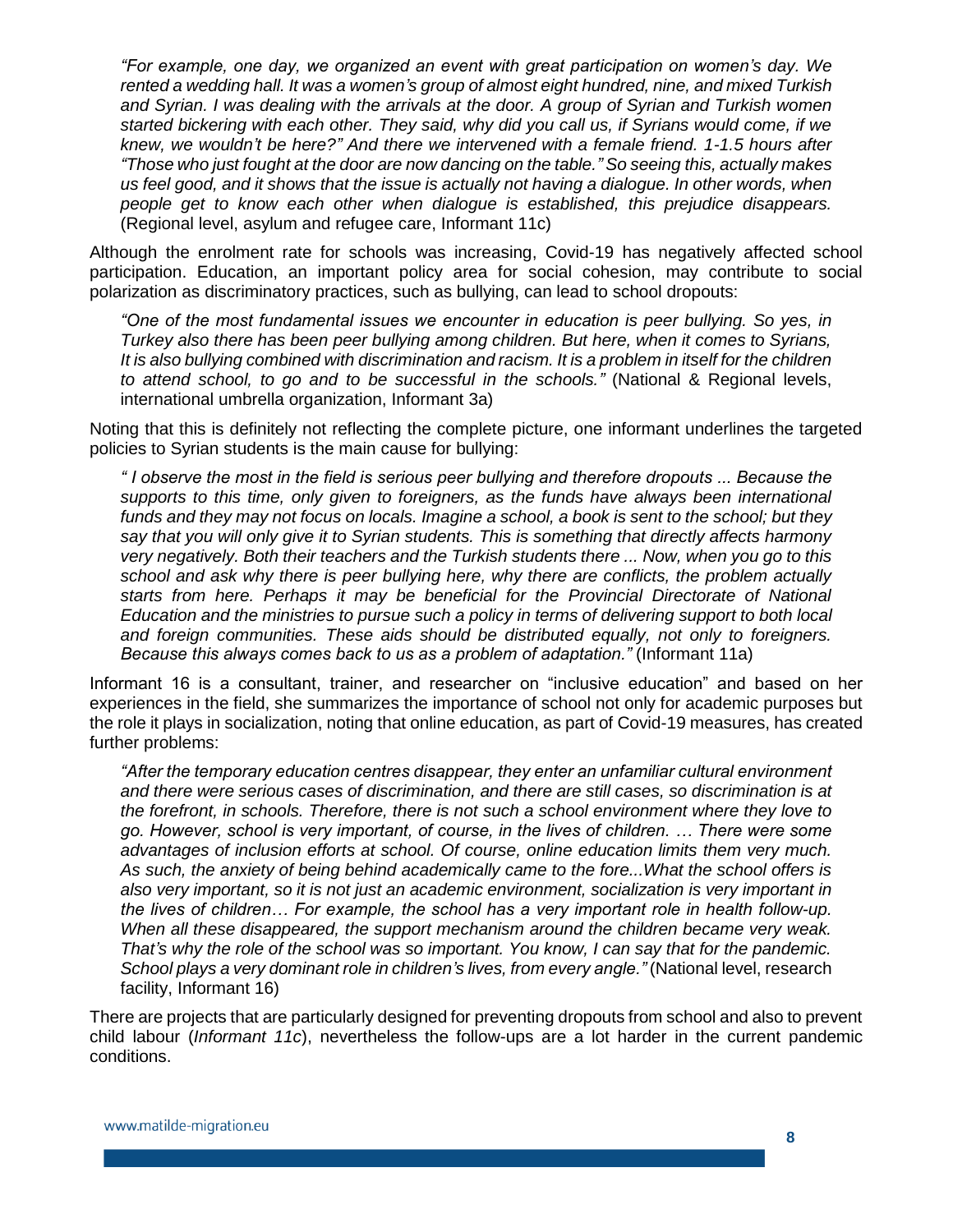*"For example, one day, we organized an event with great participation on women's day. We rented a wedding hall. It was a women's group of almost eight hundred, nine, and mixed Turkish and Syrian. I was dealing with the arrivals at the door. A group of Syrian and Turkish women started bickering with each other. They said, why did you call us, if Syrians would come, if we knew, we wouldn't be here?" And there we intervened with a female friend. 1-1.5 hours after "Those who just fought at the door are now dancing on the table." So seeing this, actually makes us feel good, and it shows that the issue is actually not having a dialogue. In other words, when people get to know each other when dialogue is established, this prejudice disappears.*  (Regional level, asylum and refugee care, Informant 11c)

Although the enrolment rate for schools was increasing, Covid-19 has negatively affected school participation. Education, an important policy area for social cohesion, may contribute to social polarization as discriminatory practices, such as bullying, can lead to school dropouts:

*"One of the most fundamental issues we encounter in education is peer bullying. So yes, in Turkey also there has been peer bullying among children. But here, when it comes to Syrians, It is also bullying combined with discrimination and racism. It is a problem in itself for the children to attend school, to go and to be successful in the schools."* (National & Regional levels, international umbrella organization, Informant 3a)

Noting that this is definitely not reflecting the complete picture, one informant underlines the targeted policies to Syrian students is the main cause for bullying:

*" I observe the most in the field is serious peer bullying and therefore dropouts ... Because the supports to this time, only given to foreigners, as the funds have always been international funds and they may not focus on locals. Imagine a school, a book is sent to the school; but they say that you will only give it to Syrian students. This is something that directly affects harmony very negatively. Both their teachers and the Turkish students there ... Now, when you go to this school and ask why there is peer bullying here, why there are conflicts, the problem actually starts from here. Perhaps it may be beneficial for the Provincial Directorate of National Education and the ministries to pursue such a policy in terms of delivering support to both local and foreign communities. These aids should be distributed equally, not only to foreigners. Because this always comes back to us as a problem of adaptation."* (Informant 11a)

Informant 16 is a consultant, trainer, and researcher on "inclusive education" and based on her experiences in the field, she summarizes the importance of school not only for academic purposes but the role it plays in socialization, noting that online education, as part of Covid-19 measures, has created further problems:

*"After the temporary education centres disappear, they enter an unfamiliar cultural environment and there were serious cases of discrimination, and there are still cases, so discrimination is at the forefront, in schools. Therefore, there is not such a school environment where they love to go. However, school is very important, of course, in the lives of children. … There were some advantages of inclusion efforts at school. Of course, online education limits them very much. As such, the anxiety of being behind academically came to the fore...What the school offers is also very important, so it is not just an academic environment, socialization is very important in the lives of children… For example, the school has a very important role in health follow-up. When all these disappeared, the support mechanism around the children became very weak. That's why the role of the school was so important. You know, I can say that for the pandemic. School plays a very dominant role in children's lives, from every angle."* (National level, research facility, Informant 16)

There are projects that are particularly designed for preventing dropouts from school and also to prevent child labour (*Informant 11c*), nevertheless the follow-ups are a lot harder in the current pandemic conditions.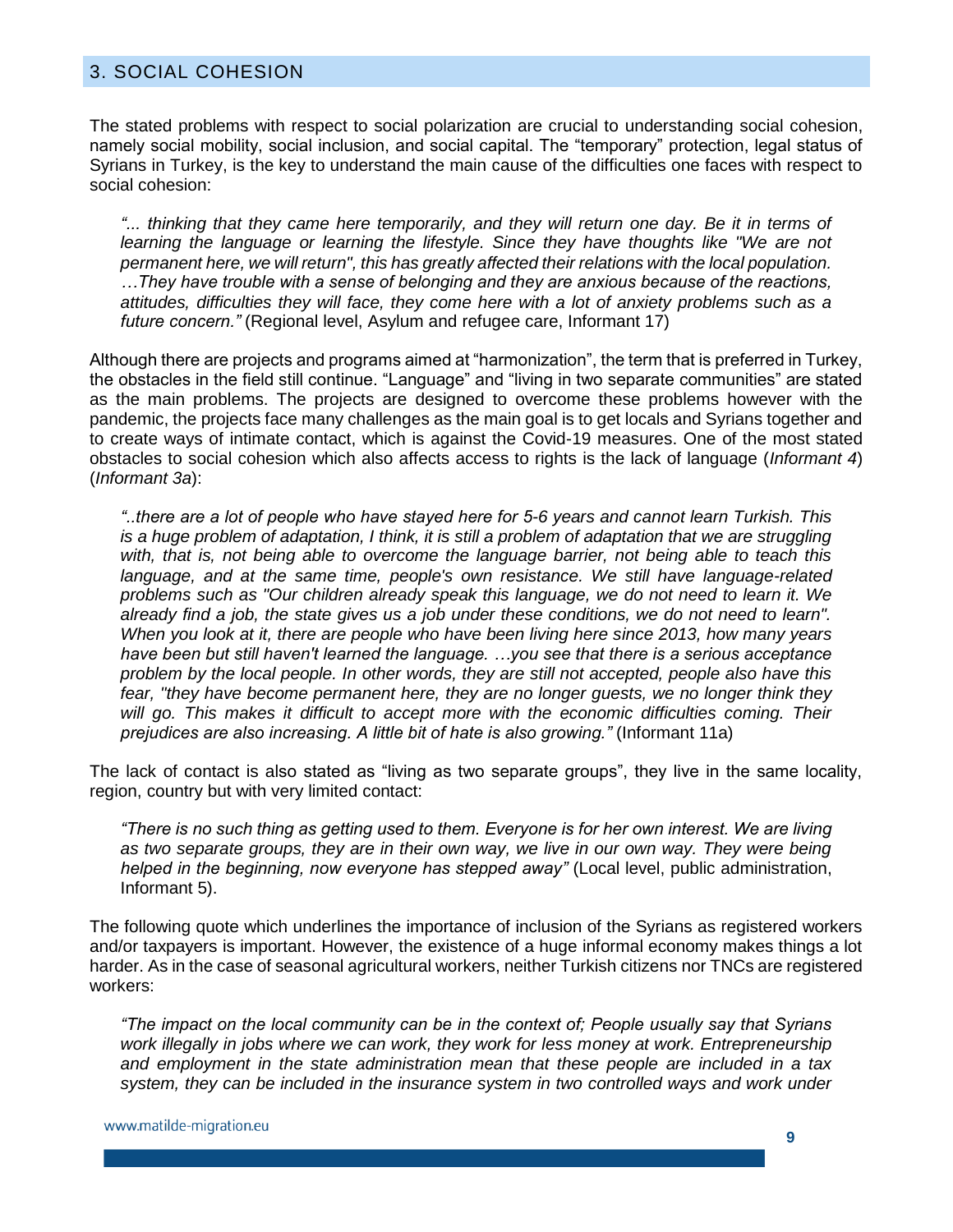## <span id="page-8-0"></span>3. SOCIAL COHESION

The stated problems with respect to social polarization are crucial to understanding social cohesion, namely social mobility, social inclusion, and social capital. The "temporary" protection, legal status of Syrians in Turkey, is the key to understand the main cause of the difficulties one faces with respect to social cohesion:

*"... thinking that they came here temporarily, and they will return one day. Be it in terms of learning the language or learning the lifestyle. Since they have thoughts like "We are not permanent here, we will return", this has greatly affected their relations with the local population. …They have trouble with a sense of belonging and they are anxious because of the reactions, attitudes, difficulties they will face, they come here with a lot of anxiety problems such as a future concern."* (Regional level, Asylum and refugee care, Informant 17)

Although there are projects and programs aimed at "harmonization", the term that is preferred in Turkey, the obstacles in the field still continue. "Language" and "living in two separate communities" are stated as the main problems. The projects are designed to overcome these problems however with the pandemic, the projects face many challenges as the main goal is to get locals and Syrians together and to create ways of intimate contact, which is against the Covid-19 measures. One of the most stated obstacles to social cohesion which also affects access to rights is the lack of language (*Informant 4*) (*Informant 3a*):

*"..there are a lot of people who have stayed here for 5-6 years and cannot learn Turkish. This is a huge problem of adaptation, I think, it is still a problem of adaptation that we are struggling with, that is, not being able to overcome the language barrier, not being able to teach this language, and at the same time, people's own resistance. We still have language-related problems such as "Our children already speak this language, we do not need to learn it. We already find a job, the state gives us a job under these conditions, we do not need to learn". When you look at it, there are people who have been living here since 2013, how many years have been but still haven't learned the language. …you see that there is a serious acceptance problem by the local people. In other words, they are still not accepted, people also have this fear, "they have become permanent here, they are no longer guests, we no longer think they will go. This makes it difficult to accept more with the economic difficulties coming. Their prejudices are also increasing. A little bit of hate is also growing."* (Informant 11a)

The lack of contact is also stated as "living as two separate groups", they live in the same locality, region, country but with very limited contact:

*"There is no such thing as getting used to them. Everyone is for her own interest. We are living*  as two separate groups, they are in their own way, we live in our own way. They were being *helped in the beginning, now everyone has stepped away"* (Local level, public administration, Informant 5).

The following quote which underlines the importance of inclusion of the Syrians as registered workers and/or taxpayers is important. However, the existence of a huge informal economy makes things a lot harder. As in the case of seasonal agricultural workers, neither Turkish citizens nor TNCs are registered workers:

*"The impact on the local community can be in the context of; People usually say that Syrians work illegally in jobs where we can work, they work for less money at work. Entrepreneurship and employment in the state administration mean that these people are included in a tax system, they can be included in the insurance system in two controlled ways and work under*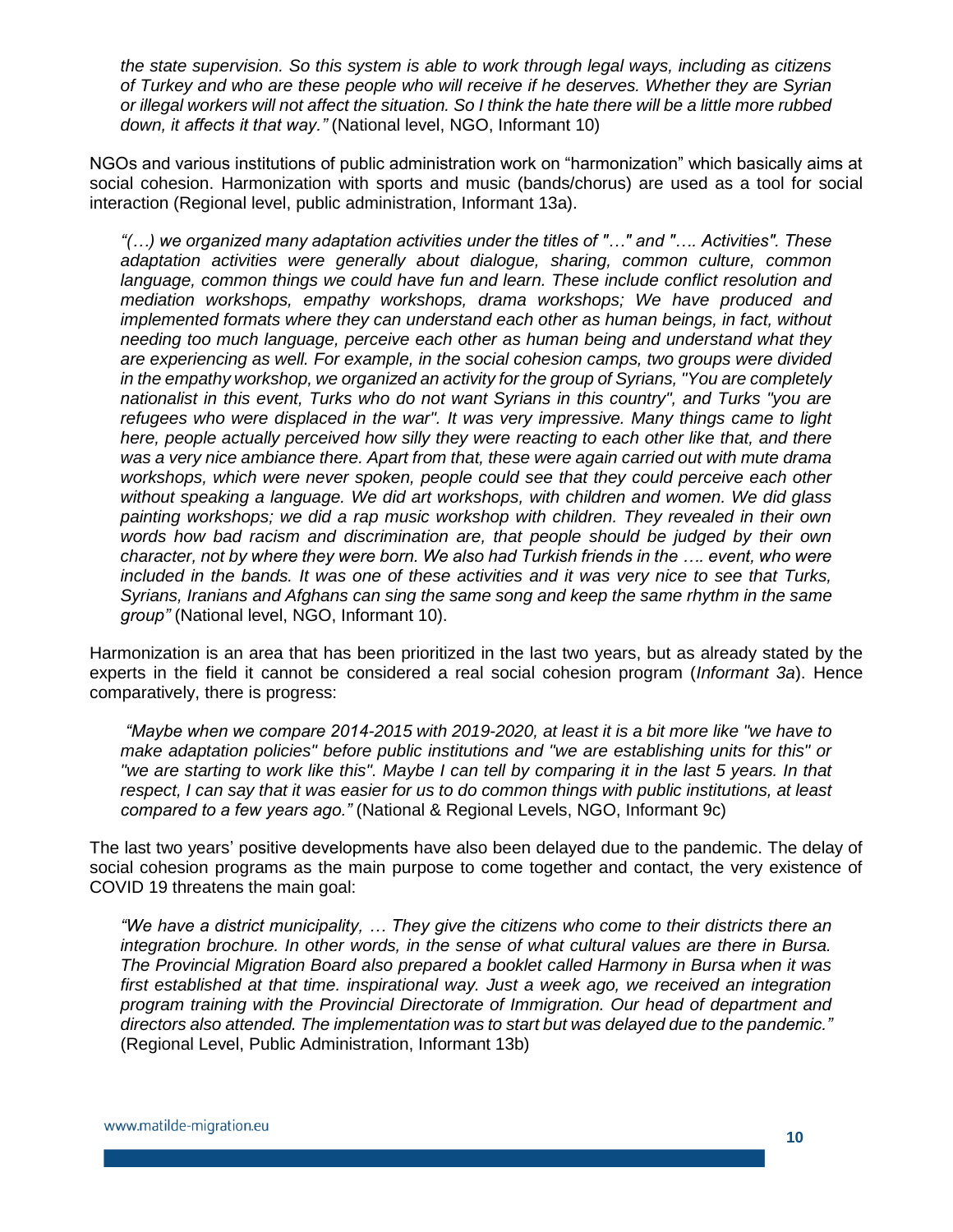*the state supervision. So this system is able to work through legal ways, including as citizens of Turkey and who are these people who will receive if he deserves. Whether they are Syrian or illegal workers will not affect the situation. So I think the hate there will be a little more rubbed down, it affects it that way."* (National level, NGO, Informant 10)

NGOs and various institutions of public administration work on "harmonization" which basically aims at social cohesion. Harmonization with sports and music (bands/chorus) are used as a tool for social interaction (Regional level, public administration, Informant 13a).

*"(…) we organized many adaptation activities under the titles of "…" and "…. Activities". These adaptation activities were generally about dialogue, sharing, common culture, common*  language, common things we could have fun and learn. These include conflict resolution and *mediation workshops, empathy workshops, drama workshops; We have produced and implemented formats where they can understand each other as human beings, in fact, without needing too much language, perceive each other as human being and understand what they are experiencing as well. For example, in the social cohesion camps, two groups were divided in the empathy workshop, we organized an activity for the group of Syrians, "You are completely nationalist in this event, Turks who do not want Syrians in this country", and Turks "you are refugees who were displaced in the war". It was very impressive. Many things came to light here, people actually perceived how silly they were reacting to each other like that, and there was a very nice ambiance there. Apart from that, these were again carried out with mute drama workshops, which were never spoken, people could see that they could perceive each other without speaking a language. We did art workshops, with children and women. We did glass painting workshops; we did a rap music workshop with children. They revealed in their own words how bad racism and discrimination are, that people should be judged by their own character, not by where they were born. We also had Turkish friends in the …. event, who were included in the bands. It was one of these activities and it was very nice to see that Turks, Syrians, Iranians and Afghans can sing the same song and keep the same rhythm in the same group"* (National level, NGO, Informant 10).

Harmonization is an area that has been prioritized in the last two years, but as already stated by the experts in the field it cannot be considered a real social cohesion program (*Informant 3a*). Hence comparatively, there is progress:

*"Maybe when we compare 2014-2015 with 2019-2020, at least it is a bit more like "we have to make adaptation policies" before public institutions and "we are establishing units for this" or "we are starting to work like this". Maybe I can tell by comparing it in the last 5 years. In that respect, I can say that it was easier for us to do common things with public institutions, at least compared to a few years ago."* (National & Regional Levels, NGO, Informant 9c)

The last two years' positive developments have also been delayed due to the pandemic. The delay of social cohesion programs as the main purpose to come together and contact, the very existence of COVID 19 threatens the main goal:

*"We have a district municipality, … They give the citizens who come to their districts there an integration brochure. In other words, in the sense of what cultural values are there in Bursa. The Provincial Migration Board also prepared a booklet called Harmony in Bursa when it was first established at that time. inspirational way. Just a week ago, we received an integration program training with the Provincial Directorate of Immigration. Our head of department and directors also attended. The implementation was to start but was delayed due to the pandemic."*  (Regional Level, Public Administration, Informant 13b)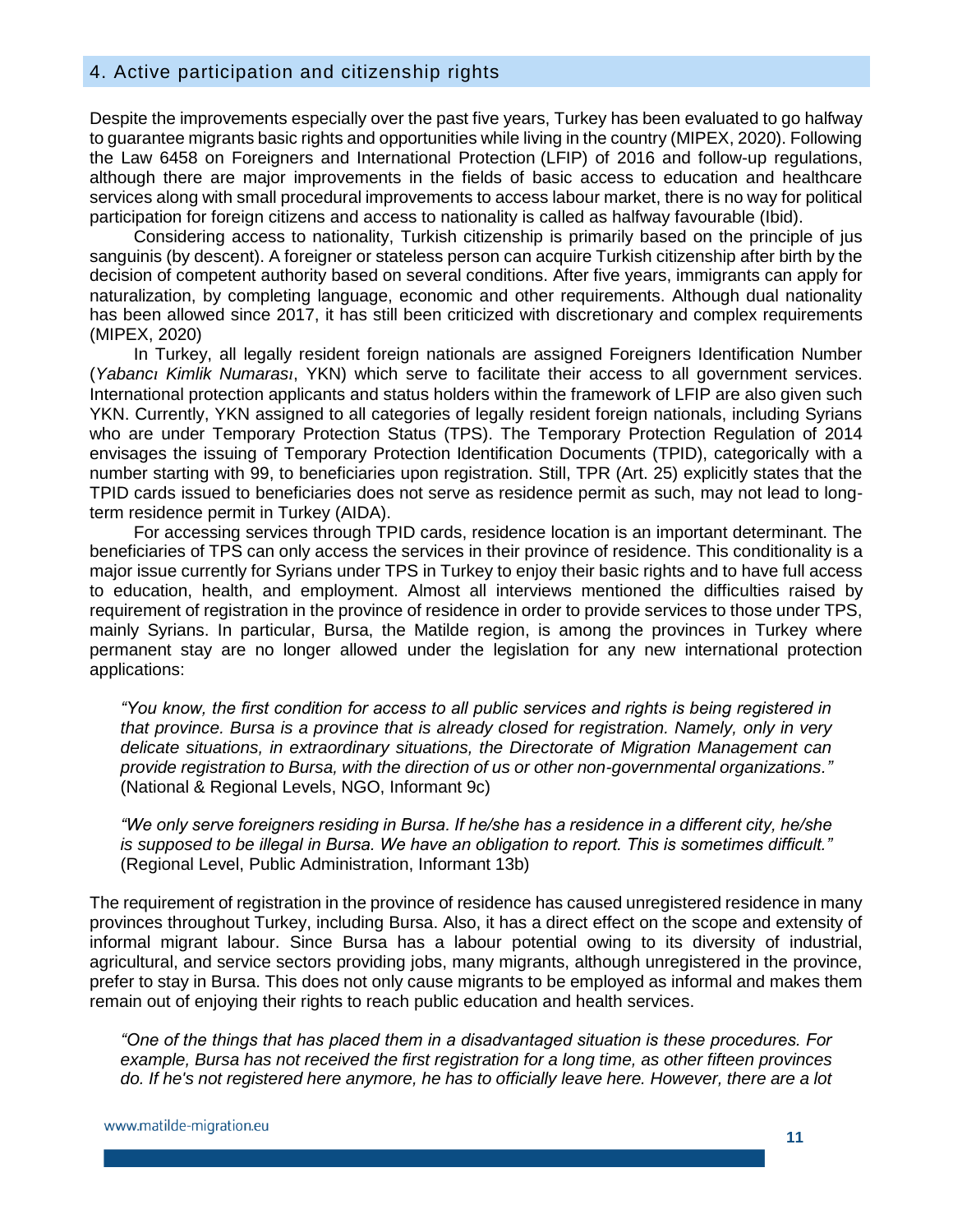#### <span id="page-10-0"></span>4. Active participation and citizenship rights

Despite the improvements especially over the past five years, Turkey has been evaluated to go halfway to guarantee migrants basic rights and opportunities while living in the country (MIPEX, 2020). Following the Law 6458 on Foreigners and International Protection (LFIP) of 2016 and follow-up regulations, although there are major improvements in the fields of basic access to education and healthcare services along with small procedural improvements to access labour market, there is no way for political participation for foreign citizens and access to nationality is called as halfway favourable (Ibid).

Considering access to nationality, Turkish citizenship is primarily based on the principle of jus sanguinis (by descent). A foreigner or stateless person can acquire Turkish citizenship after birth by the decision of competent authority based on several conditions. After five years, immigrants can apply for naturalization, by completing language, economic and other requirements. Although dual nationality has been allowed since 2017, it has still been criticized with discretionary and complex requirements (MIPEX, 2020)

In Turkey, all legally resident foreign nationals are assigned Foreigners Identification Number (*Yabancı Kimlik Numarası*, YKN) which serve to facilitate their access to all government services. International protection applicants and status holders within the framework of LFIP are also given such YKN. Currently, YKN assigned to all categories of legally resident foreign nationals, including Syrians who are under Temporary Protection Status (TPS). The Temporary Protection Regulation of 2014 envisages the issuing of Temporary Protection Identification Documents (TPID), categorically with a number starting with 99, to beneficiaries upon registration. Still, TPR (Art. 25) explicitly states that the TPID cards issued to beneficiaries does not serve as residence permit as such, may not lead to longterm residence permit in Turkey (AIDA).

For accessing services through TPID cards, residence location is an important determinant. The beneficiaries of TPS can only access the services in their province of residence. This conditionality is a major issue currently for Syrians under TPS in Turkey to enjoy their basic rights and to have full access to education, health, and employment. Almost all interviews mentioned the difficulties raised by requirement of registration in the province of residence in order to provide services to those under TPS, mainly Syrians. In particular, Bursa, the Matilde region, is among the provinces in Turkey where permanent stay are no longer allowed under the legislation for any new international protection applications:

*"You know, the first condition for access to all public services and rights is being registered in that province. Bursa is a province that is already closed for registration. Namely, only in very delicate situations, in extraordinary situations, the Directorate of Migration Management can provide registration to Bursa, with the direction of us or other non-governmental organizations."*  (National & Regional Levels, NGO, Informant 9c)

*"We only serve foreigners residing in Bursa. If he/she has a residence in a different city, he/she is supposed to be illegal in Bursa. We have an obligation to report. This is sometimes difficult."*  (Regional Level, Public Administration, Informant 13b)

The requirement of registration in the province of residence has caused unregistered residence in many provinces throughout Turkey, including Bursa. Also, it has a direct effect on the scope and extensity of informal migrant labour. Since Bursa has a labour potential owing to its diversity of industrial, agricultural, and service sectors providing jobs, many migrants, although unregistered in the province, prefer to stay in Bursa. This does not only cause migrants to be employed as informal and makes them remain out of enjoying their rights to reach public education and health services.

*"One of the things that has placed them in a disadvantaged situation is these procedures. For example, Bursa has not received the first registration for a long time, as other fifteen provinces do. If he's not registered here anymore, he has to officially leave here. However, there are a lot*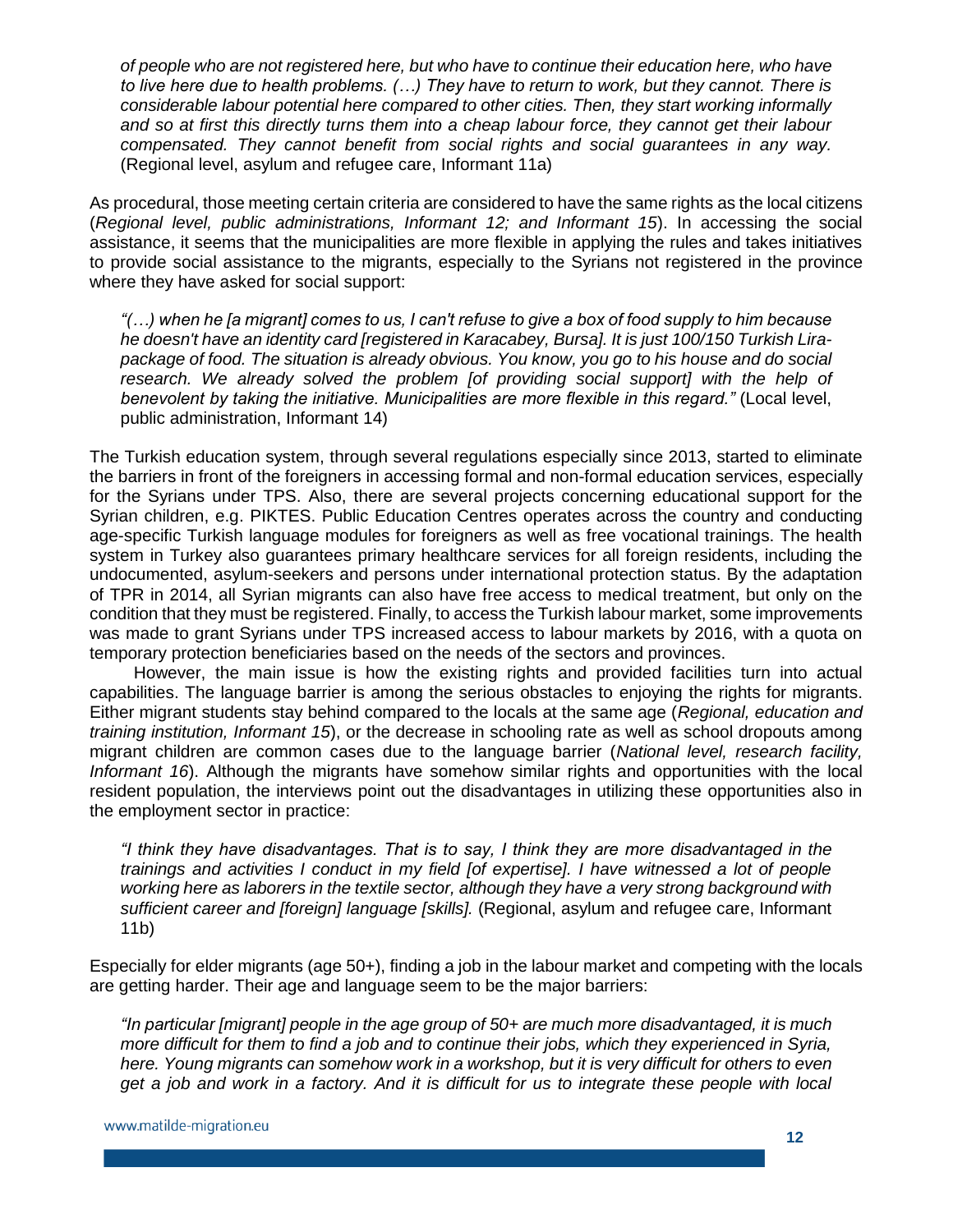*of people who are not registered here, but who have to continue their education here, who have to live here due to health problems. (…) They have to return to work, but they cannot. There is considerable labour potential here compared to other cities. Then, they start working informally and so at first this directly turns them into a cheap labour force, they cannot get their labour compensated. They cannot benefit from social rights and social guarantees in any way.*  (Regional level, asylum and refugee care, Informant 11a)

As procedural, those meeting certain criteria are considered to have the same rights as the local citizens (*Regional level, public administrations, Informant 12; and Informant 15*). In accessing the social assistance, it seems that the municipalities are more flexible in applying the rules and takes initiatives to provide social assistance to the migrants, especially to the Syrians not registered in the province where they have asked for social support:

*"(…) when he [a migrant] comes to us, I can't refuse to give a box of food supply to him because he doesn't have an identity card [registered in Karacabey, Bursa]. It is just 100/150 Turkish Lirapackage of food. The situation is already obvious. You know, you go to his house and do social research. We already solved the problem [of providing social support] with the help of benevolent by taking the initiative. Municipalities are more flexible in this regard."* (Local level, public administration, Informant 14)

The Turkish education system, through several regulations especially since 2013, started to eliminate the barriers in front of the foreigners in accessing formal and non-formal education services, especially for the Syrians under TPS. Also, there are several projects concerning educational support for the Syrian children, e.g. PIKTES. Public Education Centres operates across the country and conducting age-specific Turkish language modules for foreigners as well as free vocational trainings. The health system in Turkey also guarantees primary healthcare services for all foreign residents, including the undocumented, asylum-seekers and persons under international protection status. By the adaptation of TPR in 2014, all Syrian migrants can also have free access to medical treatment, but only on the condition that they must be registered. Finally, to access the Turkish labour market, some improvements was made to grant Syrians under TPS increased access to labour markets by 2016, with a quota on temporary protection beneficiaries based on the needs of the sectors and provinces.

However, the main issue is how the existing rights and provided facilities turn into actual capabilities. The language barrier is among the serious obstacles to enjoying the rights for migrants. Either migrant students stay behind compared to the locals at the same age (*Regional, education and training institution, Informant 15*), or the decrease in schooling rate as well as school dropouts among migrant children are common cases due to the language barrier (*National level, research facility, Informant 16*). Although the migrants have somehow similar rights and opportunities with the local resident population, the interviews point out the disadvantages in utilizing these opportunities also in the employment sector in practice:

*"I think they have disadvantages. That is to say, I think they are more disadvantaged in the trainings and activities I conduct in my field [of expertise]. I have witnessed a lot of people working here as laborers in the textile sector, although they have a very strong background with sufficient career and [foreign] language [skills].* (Regional, asylum and refugee care, Informant 11b)

Especially for elder migrants (age 50+), finding a job in the labour market and competing with the locals are getting harder. Their age and language seem to be the major barriers:

*"In particular [migrant] people in the age group of 50+ are much more disadvantaged, it is much more difficult for them to find a job and to continue their jobs, which they experienced in Syria, here. Young migrants can somehow work in a workshop, but it is very difficult for others to even get a job and work in a factory. And it is difficult for us to integrate these people with local*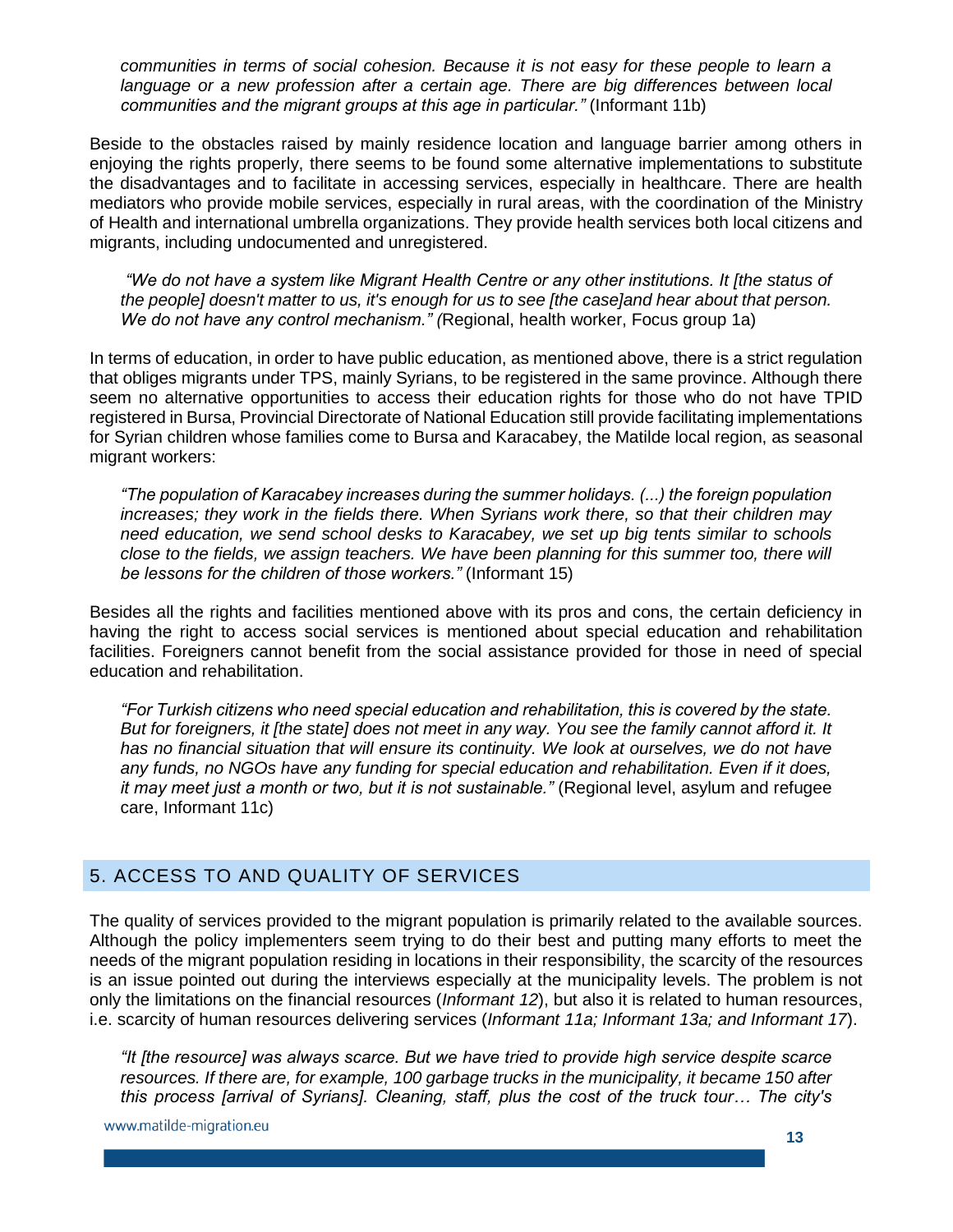*communities in terms of social cohesion. Because it is not easy for these people to learn a*  language or a new profession after a certain age. There are big differences between local *communities and the migrant groups at this age in particular."* (Informant 11b)

Beside to the obstacles raised by mainly residence location and language barrier among others in enjoying the rights properly, there seems to be found some alternative implementations to substitute the disadvantages and to facilitate in accessing services, especially in healthcare. There are health mediators who provide mobile services, especially in rural areas, with the coordination of the Ministry of Health and international umbrella organizations. They provide health services both local citizens and migrants, including undocumented and unregistered.

*"We do not have a system like Migrant Health Centre or any other institutions. It [the status of the people] doesn't matter to us, it's enough for us to see [the case]and hear about that person. We do not have any control mechanism." (*Regional, health worker, Focus group 1a)

In terms of education, in order to have public education, as mentioned above, there is a strict regulation that obliges migrants under TPS, mainly Syrians, to be registered in the same province. Although there seem no alternative opportunities to access their education rights for those who do not have TPID registered in Bursa, Provincial Directorate of National Education still provide facilitating implementations for Syrian children whose families come to Bursa and Karacabey, the Matilde local region, as seasonal migrant workers:

*"The population of Karacabey increases during the summer holidays. (...) the foreign population increases; they work in the fields there. When Syrians work there, so that their children may need education, we send school desks to Karacabey, we set up big tents similar to schools close to the fields, we assign teachers. We have been planning for this summer too, there will be lessons for the children of those workers."* (Informant 15)

Besides all the rights and facilities mentioned above with its pros and cons, the certain deficiency in having the right to access social services is mentioned about special education and rehabilitation facilities. Foreigners cannot benefit from the social assistance provided for those in need of special education and rehabilitation.

*"For Turkish citizens who need special education and rehabilitation, this is covered by the state. But for foreigners, it [the state] does not meet in any way. You see the family cannot afford it. It has no financial situation that will ensure its continuity. We look at ourselves, we do not have any funds, no NGOs have any funding for special education and rehabilitation. Even if it does, it may meet just a month or two, but it is not sustainable."* (Regional level, asylum and refugee care, Informant 11c)

## <span id="page-12-0"></span>5. ACCESS TO AND QUALITY OF SERVICES

The quality of services provided to the migrant population is primarily related to the available sources. Although the policy implementers seem trying to do their best and putting many efforts to meet the needs of the migrant population residing in locations in their responsibility, the scarcity of the resources is an issue pointed out during the interviews especially at the municipality levels. The problem is not only the limitations on the financial resources (*Informant 12*), but also it is related to human resources, i.e. scarcity of human resources delivering services (*Informant 11a; Informant 13a; and Informant 17*).

*"It [the resource] was always scarce. But we have tried to provide high service despite scarce resources. If there are, for example, 100 garbage trucks in the municipality, it became 150 after this process [arrival of Syrians]. Cleaning, staff, plus the cost of the truck tour… The city's* 

www.matilde-migration.eu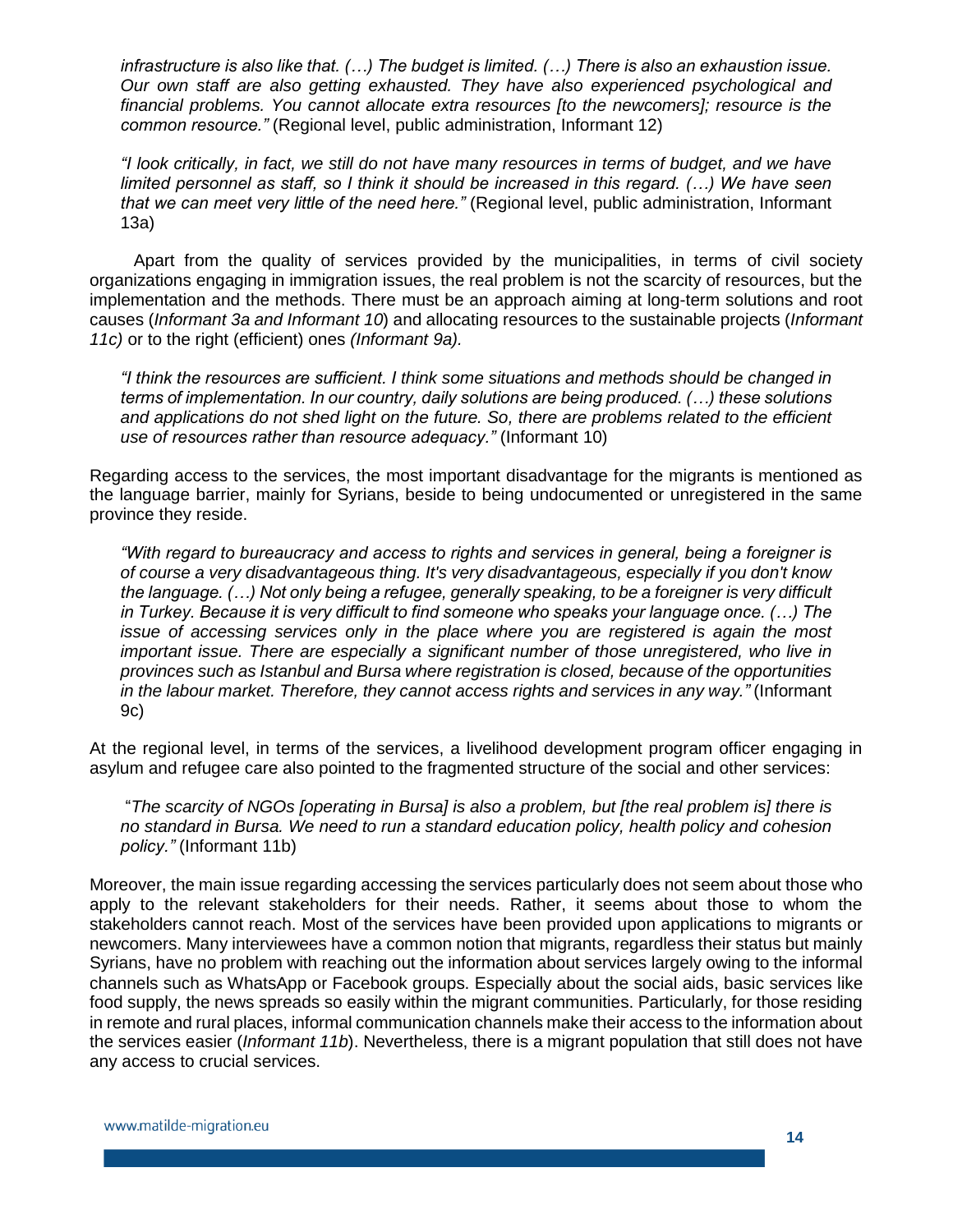*infrastructure is also like that. (…) The budget is limited. (…) There is also an exhaustion issue. Our own staff are also getting exhausted. They have also experienced psychological and financial problems. You cannot allocate extra resources [to the newcomers]; resource is the common resource."* (Regional level, public administration, Informant 12)

*"I look critically, in fact, we still do not have many resources in terms of budget, and we have limited personnel as staff, so I think it should be increased in this regard. (…) We have seen that we can meet very little of the need here."* (Regional level, public administration, Informant 13a)

Apart from the quality of services provided by the municipalities, in terms of civil society organizations engaging in immigration issues, the real problem is not the scarcity of resources, but the implementation and the methods. There must be an approach aiming at long-term solutions and root causes (*Informant 3a and Informant 10*) and allocating resources to the sustainable projects (*Informant 11c)* or to the right (efficient) ones *(Informant 9a).* 

*"I think the resources are sufficient. I think some situations and methods should be changed in terms of implementation. In our country, daily solutions are being produced. (…) these solutions and applications do not shed light on the future. So, there are problems related to the efficient use of resources rather than resource adequacy."* (Informant 10)

Regarding access to the services, the most important disadvantage for the migrants is mentioned as the language barrier, mainly for Syrians, beside to being undocumented or unregistered in the same province they reside.

*"With regard to bureaucracy and access to rights and services in general, being a foreigner is of course a very disadvantageous thing. It's very disadvantageous, especially if you don't know the language. (…) Not only being a refugee, generally speaking, to be a foreigner is very difficult in Turkey. Because it is very difficult to find someone who speaks your language once. (…) The issue of accessing services only in the place where you are registered is again the most important issue. There are especially a significant number of those unregistered, who live in provinces such as Istanbul and Bursa where registration is closed, because of the opportunities in the labour market. Therefore, they cannot access rights and services in any way."* (Informant 9c)

At the regional level, in terms of the services, a livelihood development program officer engaging in asylum and refugee care also pointed to the fragmented structure of the social and other services:

"*The scarcity of NGOs [operating in Bursa] is also a problem, but [the real problem is] there is no standard in Bursa. We need to run a standard education policy, health policy and cohesion policy."* (Informant 11b)

Moreover, the main issue regarding accessing the services particularly does not seem about those who apply to the relevant stakeholders for their needs. Rather, it seems about those to whom the stakeholders cannot reach. Most of the services have been provided upon applications to migrants or newcomers. Many interviewees have a common notion that migrants, regardless their status but mainly Syrians, have no problem with reaching out the information about services largely owing to the informal channels such as WhatsApp or Facebook groups. Especially about the social aids, basic services like food supply, the news spreads so easily within the migrant communities. Particularly, for those residing in remote and rural places, informal communication channels make their access to the information about the services easier (*Informant 11b*). Nevertheless, there is a migrant population that still does not have any access to crucial services.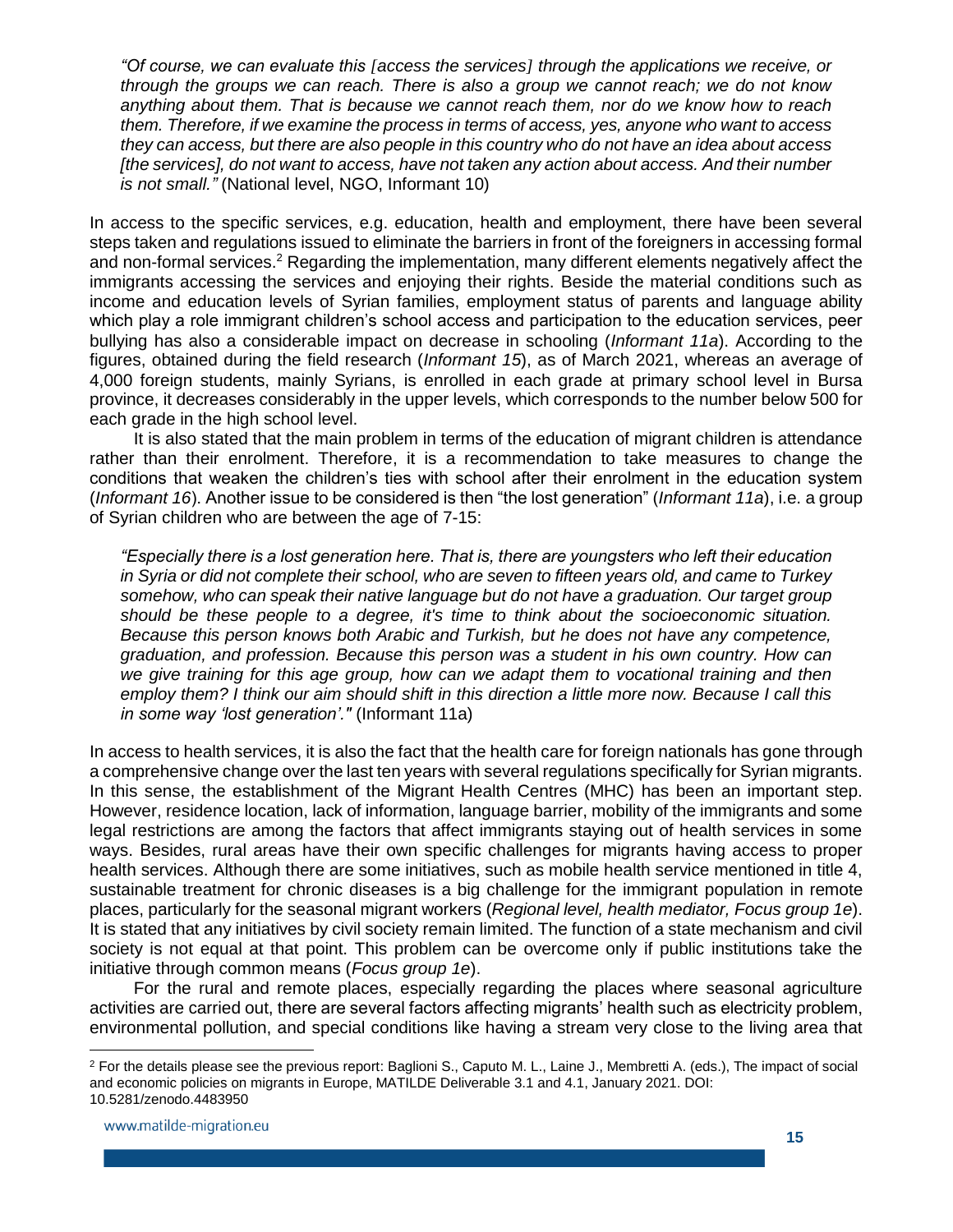*"Of course, we can evaluate this [access the services] through the applications we receive, or through the groups we can reach. There is also a group we cannot reach; we do not know anything about them. That is because we cannot reach them, nor do we know how to reach them. Therefore, if we examine the process in terms of access, yes, anyone who want to access they can access, but there are also people in this country who do not have an idea about access [the services], do not want to access, have not taken any action about access. And their number is not small."* (National level, NGO, Informant 10)

In access to the specific services, e.g. education, health and employment, there have been several steps taken and regulations issued to eliminate the barriers in front of the foreigners in accessing formal and non-formal services.<sup>2</sup> Regarding the implementation, many different elements negatively affect the immigrants accessing the services and enjoying their rights. Beside the material conditions such as income and education levels of Syrian families, employment status of parents and language ability which play a role immigrant children's school access and participation to the education services, peer bullying has also a considerable impact on decrease in schooling (*Informant 11a*). According to the figures, obtained during the field research (*Informant 15*), as of March 2021, whereas an average of 4,000 foreign students, mainly Syrians, is enrolled in each grade at primary school level in Bursa province, it decreases considerably in the upper levels, which corresponds to the number below 500 for each grade in the high school level.

It is also stated that the main problem in terms of the education of migrant children is attendance rather than their enrolment. Therefore, it is a recommendation to take measures to change the conditions that weaken the children's ties with school after their enrolment in the education system (*Informant 16*). Another issue to be considered is then "the lost generation" (*Informant 11a*), i.e. a group of Syrian children who are between the age of 7-15:

*"Especially there is a lost generation here. That is, there are youngsters who left their education in Syria or did not complete their school, who are seven to fifteen years old, and came to Turkey somehow, who can speak their native language but do not have a graduation. Our target group should be these people to a degree, it's time to think about the socioeconomic situation. Because this person knows both Arabic and Turkish, but he does not have any competence, graduation, and profession. Because this person was a student in his own country. How can we give training for this age group, how can we adapt them to vocational training and then employ them? I think our aim should shift in this direction a little more now. Because I call this in some way 'lost generation'."* (Informant 11a)

In access to health services, it is also the fact that the health care for foreign nationals has gone through a comprehensive change over the last ten years with several regulations specifically for Syrian migrants. In this sense, the establishment of the Migrant Health Centres (MHC) has been an important step. However, residence location, lack of information, language barrier, mobility of the immigrants and some legal restrictions are among the factors that affect immigrants staying out of health services in some ways. Besides, rural areas have their own specific challenges for migrants having access to proper health services. Although there are some initiatives, such as mobile health service mentioned in title 4, sustainable treatment for chronic diseases is a big challenge for the immigrant population in remote places, particularly for the seasonal migrant workers (*Regional level, health mediator, Focus group 1e*). It is stated that any initiatives by civil society remain limited. The function of a state mechanism and civil society is not equal at that point. This problem can be overcome only if public institutions take the initiative through common means (*Focus group 1e*).

For the rural and remote places, especially regarding the places where seasonal agriculture activities are carried out, there are several factors affecting migrants' health such as electricity problem, environmental pollution, and special conditions like having a stream very close to the living area that

l

<sup>&</sup>lt;sup>2</sup> For the details please see the previous report: Baglioni S., Caputo M. L., Laine J., Membretti A. (eds.), The impact of social and economic policies on migrants in Europe, MATILDE Deliverable 3.1 and 4.1, January 2021. DOI: 10.5281/zenodo.4483950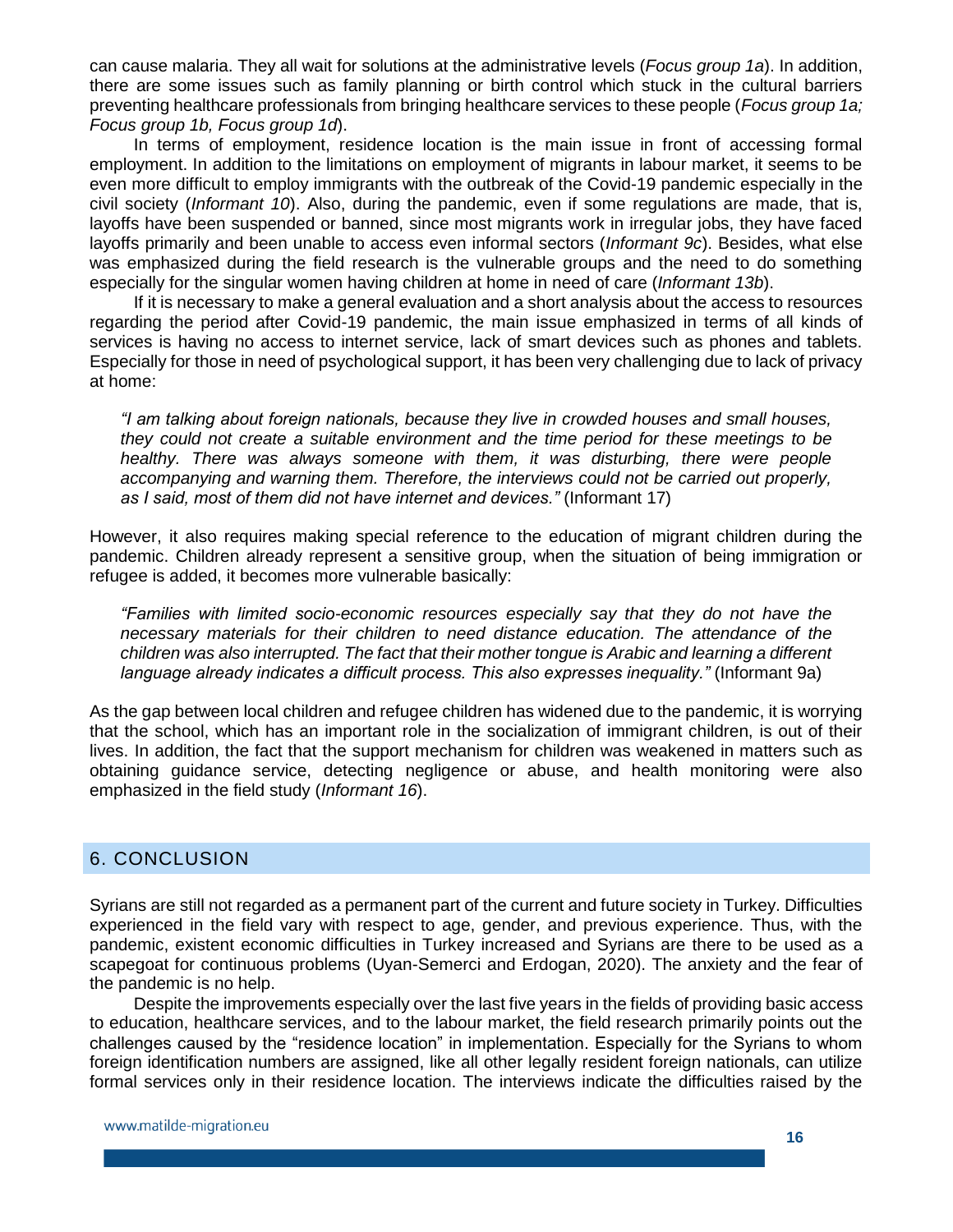can cause malaria. They all wait for solutions at the administrative levels (*Focus group 1a*). In addition, there are some issues such as family planning or birth control which stuck in the cultural barriers preventing healthcare professionals from bringing healthcare services to these people (*Focus group 1a; Focus group 1b, Focus group 1d*).

In terms of employment, residence location is the main issue in front of accessing formal employment. In addition to the limitations on employment of migrants in labour market, it seems to be even more difficult to employ immigrants with the outbreak of the Covid-19 pandemic especially in the civil society (*Informant 10*). Also, during the pandemic, even if some regulations are made, that is, layoffs have been suspended or banned, since most migrants work in irregular jobs, they have faced layoffs primarily and been unable to access even informal sectors (*Informant 9c*). Besides, what else was emphasized during the field research is the vulnerable groups and the need to do something especially for the singular women having children at home in need of care (*Informant 13b*).

If it is necessary to make a general evaluation and a short analysis about the access to resources regarding the period after Covid-19 pandemic, the main issue emphasized in terms of all kinds of services is having no access to internet service, lack of smart devices such as phones and tablets. Especially for those in need of psychological support, it has been very challenging due to lack of privacy at home:

*"I am talking about foreign nationals, because they live in crowded houses and small houses, they could not create a suitable environment and the time period for these meetings to be healthy. There was always someone with them, it was disturbing, there were people accompanying and warning them. Therefore, the interviews could not be carried out properly, as I said, most of them did not have internet and devices."* (Informant 17)

However, it also requires making special reference to the education of migrant children during the pandemic. Children already represent a sensitive group, when the situation of being immigration or refugee is added, it becomes more vulnerable basically:

*"Families with limited socio-economic resources especially say that they do not have the necessary materials for their children to need distance education. The attendance of the children was also interrupted. The fact that their mother tongue is Arabic and learning a different language already indicates a difficult process. This also expresses inequality."* (Informant 9a)

As the gap between local children and refugee children has widened due to the pandemic, it is worrying that the school, which has an important role in the socialization of immigrant children, is out of their lives. In addition, the fact that the support mechanism for children was weakened in matters such as obtaining guidance service, detecting negligence or abuse, and health monitoring were also emphasized in the field study (*Informant 16*).

## <span id="page-15-0"></span>6. CONCLUSION

Syrians are still not regarded as a permanent part of the current and future society in Turkey. Difficulties experienced in the field vary with respect to age, gender, and previous experience. Thus, with the pandemic, existent economic difficulties in Turkey increased and Syrians are there to be used as a scapegoat for continuous problems (Uyan-Semerci and Erdogan, 2020). The anxiety and the fear of the pandemic is no help.

Despite the improvements especially over the last five years in the fields of providing basic access to education, healthcare services, and to the labour market, the field research primarily points out the challenges caused by the "residence location" in implementation. Especially for the Syrians to whom foreign identification numbers are assigned, like all other legally resident foreign nationals, can utilize formal services only in their residence location. The interviews indicate the difficulties raised by the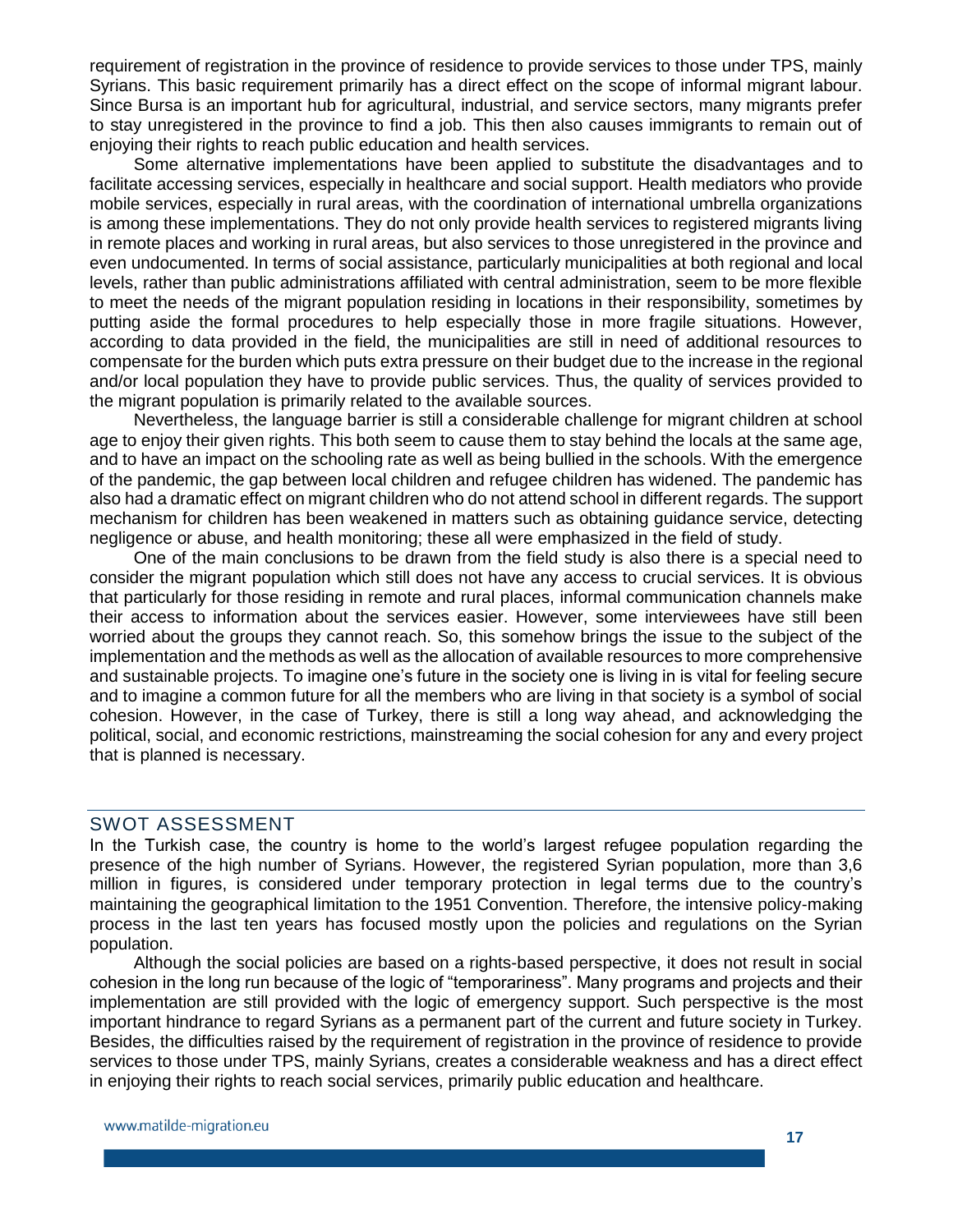requirement of registration in the province of residence to provide services to those under TPS, mainly Syrians. This basic requirement primarily has a direct effect on the scope of informal migrant labour. Since Bursa is an important hub for agricultural, industrial, and service sectors, many migrants prefer to stay unregistered in the province to find a job. This then also causes immigrants to remain out of enjoying their rights to reach public education and health services.

Some alternative implementations have been applied to substitute the disadvantages and to facilitate accessing services, especially in healthcare and social support. Health mediators who provide mobile services, especially in rural areas, with the coordination of international umbrella organizations is among these implementations. They do not only provide health services to registered migrants living in remote places and working in rural areas, but also services to those unregistered in the province and even undocumented. In terms of social assistance, particularly municipalities at both regional and local levels, rather than public administrations affiliated with central administration, seem to be more flexible to meet the needs of the migrant population residing in locations in their responsibility, sometimes by putting aside the formal procedures to help especially those in more fragile situations. However, according to data provided in the field, the municipalities are still in need of additional resources to compensate for the burden which puts extra pressure on their budget due to the increase in the regional and/or local population they have to provide public services. Thus, the quality of services provided to the migrant population is primarily related to the available sources.

Nevertheless, the language barrier is still a considerable challenge for migrant children at school age to enjoy their given rights. This both seem to cause them to stay behind the locals at the same age, and to have an impact on the schooling rate as well as being bullied in the schools. With the emergence of the pandemic, the gap between local children and refugee children has widened. The pandemic has also had a dramatic effect on migrant children who do not attend school in different regards. The support mechanism for children has been weakened in matters such as obtaining guidance service, detecting negligence or abuse, and health monitoring; these all were emphasized in the field of study.

One of the main conclusions to be drawn from the field study is also there is a special need to consider the migrant population which still does not have any access to crucial services. It is obvious that particularly for those residing in remote and rural places, informal communication channels make their access to information about the services easier. However, some interviewees have still been worried about the groups they cannot reach. So, this somehow brings the issue to the subject of the implementation and the methods as well as the allocation of available resources to more comprehensive and sustainable projects. To imagine one's future in the society one is living in is vital for feeling secure and to imagine a common future for all the members who are living in that society is a symbol of social cohesion. However, in the case of Turkey, there is still a long way ahead, and acknowledging the political, social, and economic restrictions, mainstreaming the social cohesion for any and every project that is planned is necessary.

#### <span id="page-16-0"></span>SWOT ASSESSMENT

In the Turkish case, the country is home to the world's largest refugee population regarding the presence of the high number of Syrians. However, the registered Syrian population, more than 3,6 million in figures, is considered under temporary protection in legal terms due to the country's maintaining the geographical limitation to the 1951 Convention. Therefore, the intensive policy-making process in the last ten years has focused mostly upon the policies and regulations on the Syrian population.

Although the social policies are based on a rights-based perspective, it does not result in social cohesion in the long run because of the logic of "temporariness". Many programs and projects and their implementation are still provided with the logic of emergency support. Such perspective is the most important hindrance to regard Syrians as a permanent part of the current and future society in Turkey. Besides, the difficulties raised by the requirement of registration in the province of residence to provide services to those under TPS, mainly Syrians, creates a considerable weakness and has a direct effect in enjoying their rights to reach social services, primarily public education and healthcare.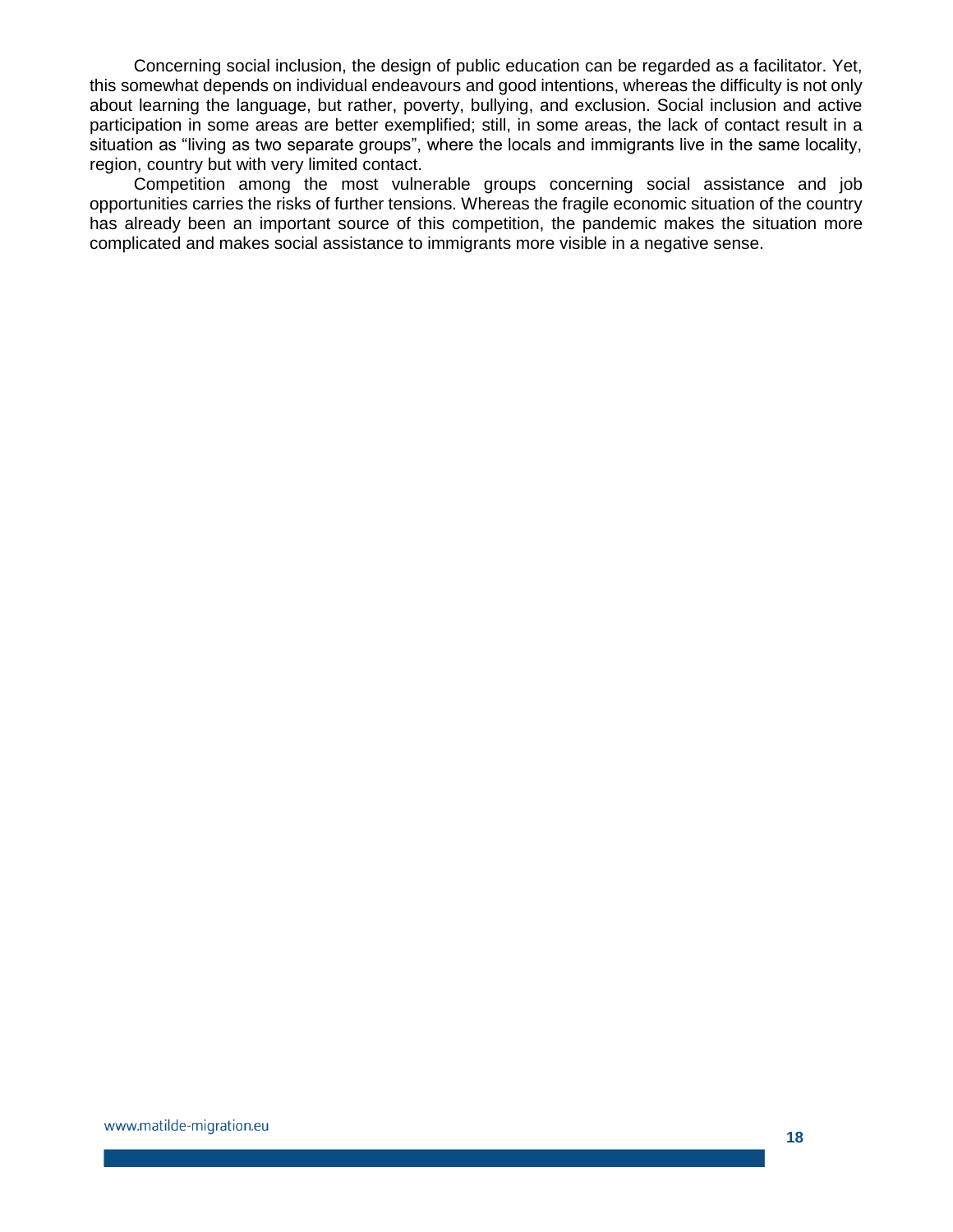Concerning social inclusion, the design of public education can be regarded as a facilitator. Yet, this somewhat depends on individual endeavours and good intentions, whereas the difficulty is not only about learning the language, but rather, poverty, bullying, and exclusion. Social inclusion and active participation in some areas are better exemplified; still, in some areas, the lack of contact result in a situation as "living as two separate groups", where the locals and immigrants live in the same locality, region, country but with very limited contact.

Competition among the most vulnerable groups concerning social assistance and job opportunities carries the risks of further tensions. Whereas the fragile economic situation of the country has already been an important source of this competition, the pandemic makes the situation more complicated and makes social assistance to immigrants more visible in a negative sense.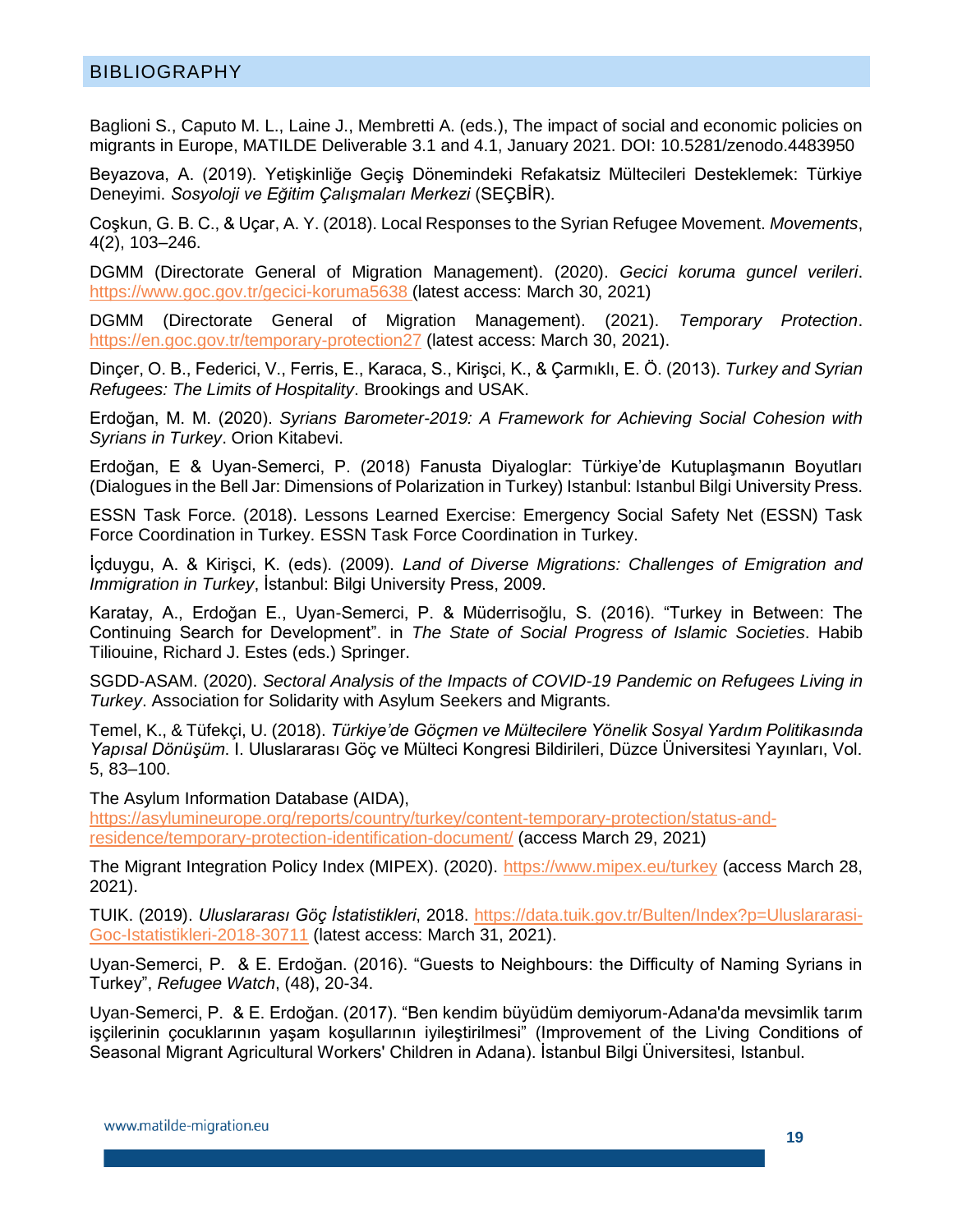#### <span id="page-18-0"></span>BIBLIOGRAPHY

Baglioni S., Caputo M. L., Laine J., Membretti A. (eds.), The impact of social and economic policies on migrants in Europe, MATILDE Deliverable 3.1 and 4.1, January 2021. DOI: 10.5281/zenodo.4483950

Beyazova, A. (2019). Yetişkinliğe Geçiş Dönemindeki Refakatsiz Mültecileri Desteklemek: Türkiye Deneyimi. *Sosyoloji ve Eğitim Çalışmaları Merkezi* (SEÇBİR).

Coşkun, G. B. C., & Uçar, A. Y. (2018). Local Responses to the Syrian Refugee Movement. *Movements*, 4(2), 103–246.

DGMM (Directorate General of Migration Management). (2020). *Gecici koruma guncel verileri*. <https://www.goc.gov.tr/gecici-koruma5638> (latest access: March 30, 2021)

DGMM (Directorate General of Migration Management). (2021). *Temporary Protection*. <https://en.goc.gov.tr/temporary-protection27> (latest access: March 30, 2021).

Dinçer, O. B., Federici, V., Ferris, E., Karaca, S., Kirişci, K., & Çarmıklı, E. Ö. (2013). *Turkey and Syrian Refugees: The Limits of Hospitality*. Brookings and USAK.

Erdoğan, M. M. (2020). *Syrians Barometer-2019: A Framework for Achieving Social Cohesion with Syrians in Turkey*. Orion Kitabevi.

Erdoğan, E & Uyan-Semerci, P. (2018) Fanusta Diyaloglar: Türkiye'de Kutuplaşmanın Boyutları (Dialogues in the Bell Jar: Dimensions of Polarization in Turkey) Istanbul: Istanbul Bilgi University Press.

ESSN Task Force. (2018). Lessons Learned Exercise: Emergency Social Safety Net (ESSN) Task Force Coordination in Turkey. ESSN Task Force Coordination in Turkey.

İçduygu, A. & Kirişci, K. (eds). (2009). *Land of Diverse Migrations: Challenges of Emigration and Immigration in Turkey*, İstanbul: Bilgi University Press, 2009.

Karatay, A., Erdoğan E., Uyan-Semerci, P. & Müderrisoğlu, S. (2016). "Turkey in Between: The Continuing Search for Development". in *The State of Social Progress of Islamic Societies*. Habib Tiliouine, Richard J. Estes (eds.) Springer.

SGDD-ASAM. (2020). *Sectoral Analysis of the Impacts of COVID-19 Pandemic on Refugees Living in Turkey*. Association for Solidarity with Asylum Seekers and Migrants.

Temel, K., & Tüfekçi, U. (2018). *Türkiye'de Göçmen ve Mültecilere Yönelik Sosyal Yardım Politikasında Yapısal Dönüşüm*. I. Uluslararası Göç ve Mülteci Kongresi Bildirileri, Düzce Üniversitesi Yayınları, Vol. 5, 83–100.

The Asylum Information Database (AIDA),

[https://asylumineurope.org/reports/country/turkey/content-temporary-protection/status-and](https://asylumineurope.org/reports/country/turkey/content-temporary-protection/status-and-residence/temporary-protection-identification-document/)[residence/temporary-protection-identification-document/](https://asylumineurope.org/reports/country/turkey/content-temporary-protection/status-and-residence/temporary-protection-identification-document/) (access March 29, 2021)

The Migrant Integration Policy Index (MIPEX). (2020).<https://www.mipex.eu/turkey> (access March 28, 2021).

TUIK. (2019). *Uluslararası Göç İstatistikleri*, 2018. [https://data.tuik.gov.tr/Bulten/Index?p=Uluslararasi-](https://data.tuik.gov.tr/Bulten/Index?p=Uluslararasi-Goc-Istatistikleri-2018-30711)[Goc-Istatistikleri-2018-30711](https://data.tuik.gov.tr/Bulten/Index?p=Uluslararasi-Goc-Istatistikleri-2018-30711) (latest access: March 31, 2021).

Uyan-Semerci, P. & E. Erdoğan. (2016). "Guests to Neighbours: the Difficulty of Naming Syrians in Turkey", *Refugee Watch*, (48), 20-34.

Uyan-Semerci, P. & E. Erdoğan. (2017). "Ben kendim büyüdüm demiyorum-Adana'da mevsimlik tarım işçilerinin çocuklarının yaşam koşullarının iyileştirilmesi" (Improvement of the Living Conditions of Seasonal Migrant Agricultural Workers' Children in Adana). İstanbul Bilgi Üniversitesi, Istanbul.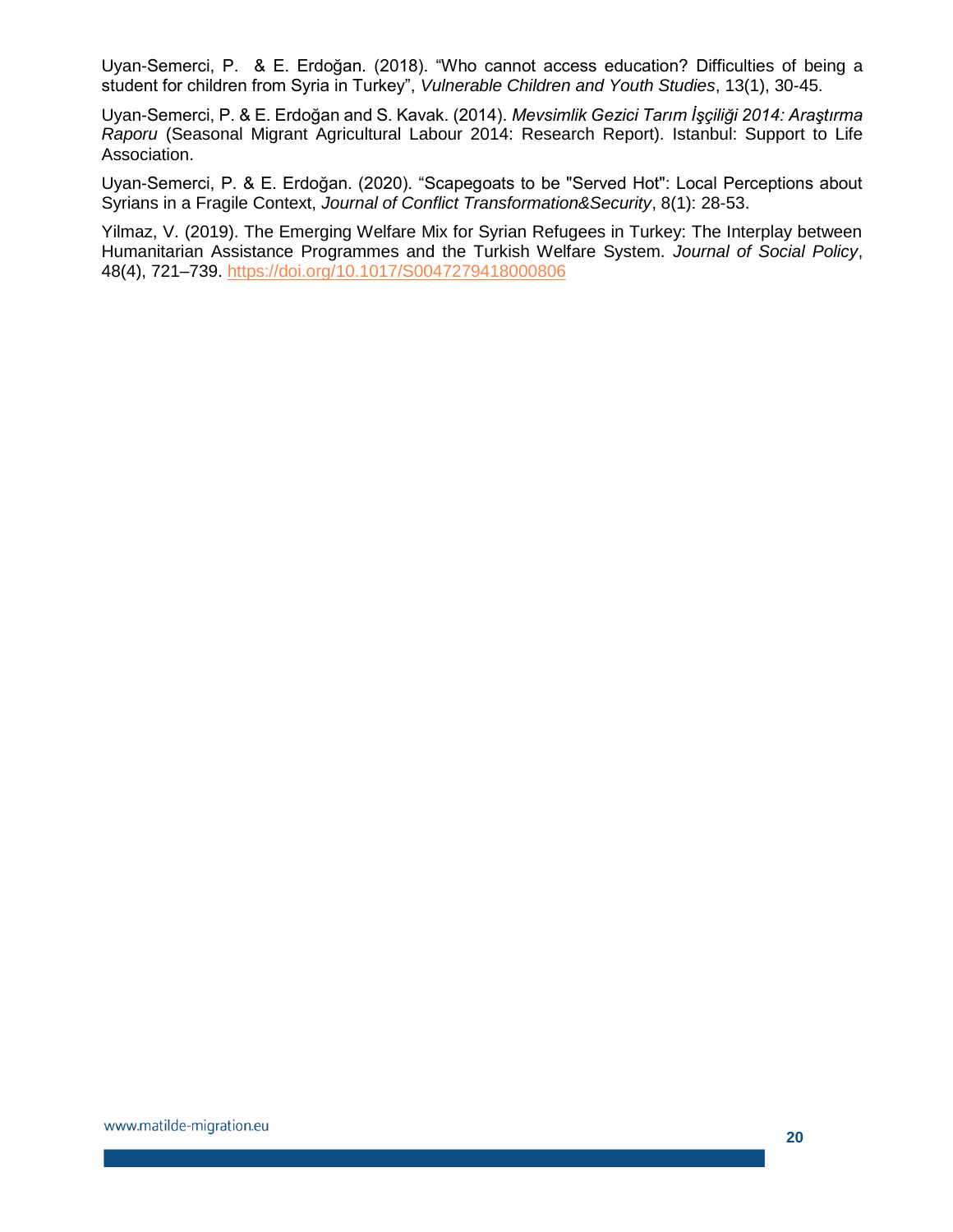Uyan-Semerci, P. & E. Erdoğan. (2018). "Who cannot access education? Difficulties of being a student for children from Syria in Turkey", *Vulnerable Children and Youth Studies*, 13(1), 30-45.

Uyan-Semerci, P. & E. Erdoğan and S. Kavak. (2014). *Mevsimlik Gezici Tarım İşçiliği 2014: Araştırma Raporu* (Seasonal Migrant Agricultural Labour 2014: Research Report). Istanbul: Support to Life Association.

Uyan-Semerci, P. & E. Erdoğan. (2020). "Scapegoats to be "Served Hot": Local Perceptions about Syrians in a Fragile Context, *Journal of Conflict Transformation&Security*, 8(1): 28-53.

Yilmaz, V. (2019). The Emerging Welfare Mix for Syrian Refugees in Turkey: The Interplay between Humanitarian Assistance Programmes and the Turkish Welfare System. *Journal of Social Policy*, 48(4), 721–739.<https://doi.org/10.1017/S0047279418000806>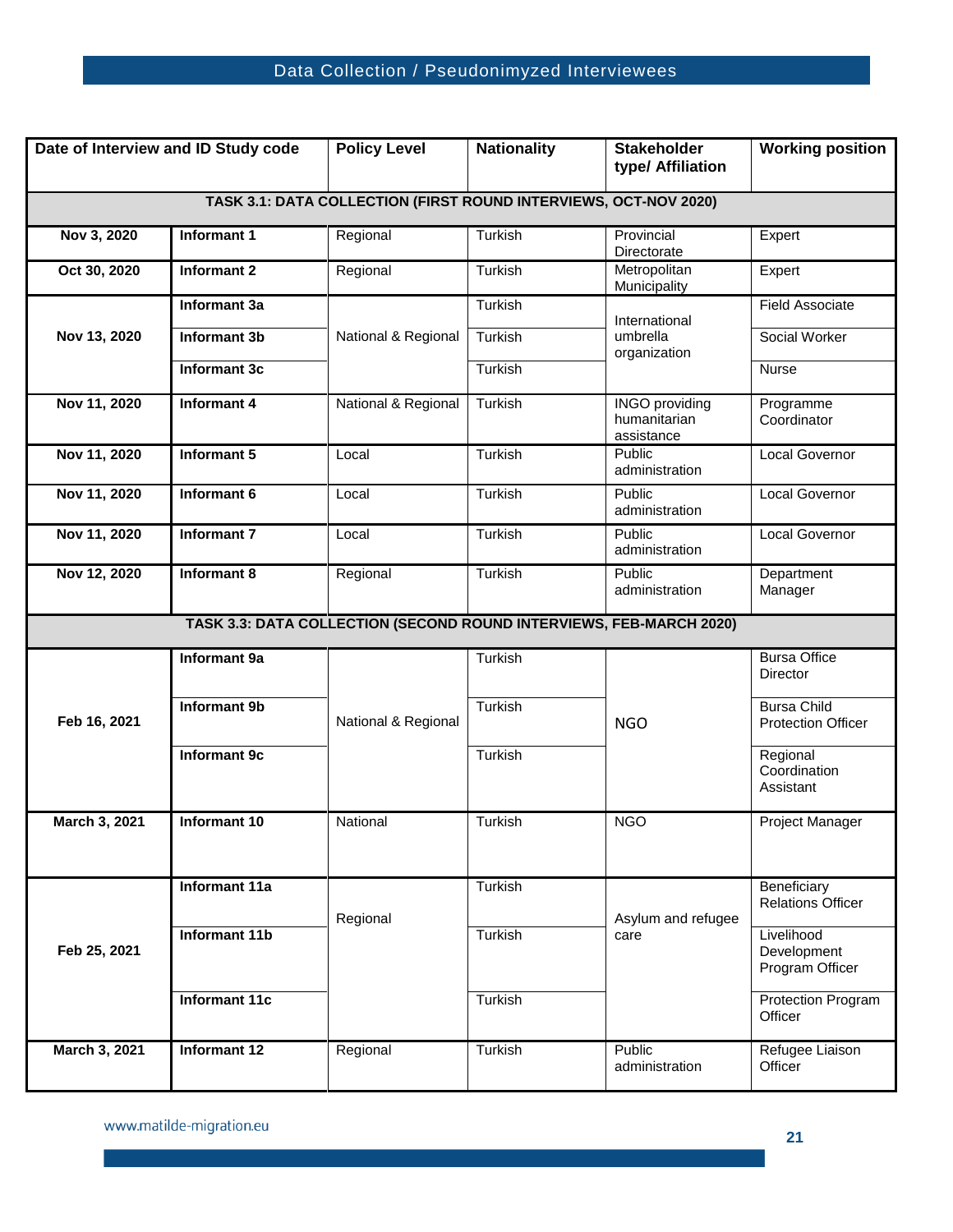## Data Collection / Pseudonimyzed Interviewees

<span id="page-20-0"></span>

| Date of Interview and ID Study code                                 |                      | <b>Policy Level</b> | <b>Nationality</b> | <b>Stakeholder</b><br>type/ Affiliation             | <b>Working position</b>                         |  |  |  |  |
|---------------------------------------------------------------------|----------------------|---------------------|--------------------|-----------------------------------------------------|-------------------------------------------------|--|--|--|--|
| TASK 3.1: DATA COLLECTION (FIRST ROUND INTERVIEWS, OCT-NOV 2020)    |                      |                     |                    |                                                     |                                                 |  |  |  |  |
| Nov 3, 2020                                                         | Informant 1          | Regional            | Turkish            | Provincial<br>Directorate                           | Expert                                          |  |  |  |  |
| Oct 30, 2020                                                        | Informant 2          | Regional            | Turkish            | Metropolitan<br>Municipality                        | Expert                                          |  |  |  |  |
| Nov 13, 2020                                                        | Informant 3a         | National & Regional | Turkish            | International                                       | <b>Field Associate</b>                          |  |  |  |  |
|                                                                     | <b>Informant 3b</b>  |                     | Turkish            | umbrella<br>organization                            | Social Worker                                   |  |  |  |  |
|                                                                     | <b>Informant 3c</b>  |                     | Turkish            |                                                     | <b>Nurse</b>                                    |  |  |  |  |
| Nov 11, 2020                                                        | Informant 4          | National & Regional | Turkish            | <b>INGO</b> providing<br>humanitarian<br>assistance | Programme<br>Coordinator                        |  |  |  |  |
| Nov 11, 2020                                                        | Informant 5          | Local               | Turkish            | Public<br>administration                            | Local Governor                                  |  |  |  |  |
| Nov 11, 2020                                                        | Informant 6          | Local               | Turkish            | Public<br>administration                            | Local Governor                                  |  |  |  |  |
| Nov 11, 2020                                                        | <b>Informant 7</b>   | Local               | Turkish            | Public<br>administration                            | Local Governor                                  |  |  |  |  |
| Nov 12, 2020                                                        | Informant 8          | Regional            | Turkish            | Public<br>administration                            | Department<br>Manager                           |  |  |  |  |
| TASK 3.3: DATA COLLECTION (SECOND ROUND INTERVIEWS, FEB-MARCH 2020) |                      |                     |                    |                                                     |                                                 |  |  |  |  |
| Feb 16, 2021                                                        | Informant 9a         | National & Regional | Turkish            | <b>NGO</b>                                          | <b>Bursa Office</b><br>Director                 |  |  |  |  |
|                                                                     | <b>Informant 9b</b>  |                     | Turkish            |                                                     | <b>Bursa Child</b><br><b>Protection Officer</b> |  |  |  |  |
|                                                                     |                      |                     |                    |                                                     |                                                 |  |  |  |  |
|                                                                     | Informant 9c         |                     | Turkish            |                                                     | Regional<br>Coordination<br>Assistant           |  |  |  |  |
| March 3, 2021                                                       | Informant 10         | National            | Turkish            | <b>NGO</b>                                          | Project Manager                                 |  |  |  |  |
|                                                                     | Informant 11a        |                     | Turkish            |                                                     | Beneficiary<br><b>Relations Officer</b>         |  |  |  |  |
| Feb 25, 2021                                                        | Informant 11b        | Regional            | Turkish            | Asylum and refugee<br>care                          | Livelihood<br>Development<br>Program Officer    |  |  |  |  |
|                                                                     | <b>Informant 11c</b> |                     | Turkish            |                                                     | Protection Program<br>Officer                   |  |  |  |  |